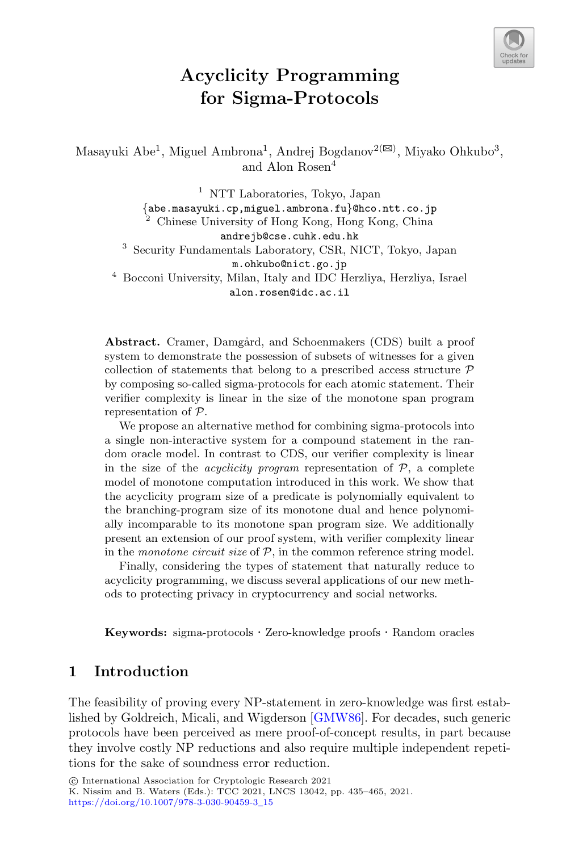

# **Acyclicity Programming for Sigma-Protocols**

Masayuki Abe<sup>1</sup>, Miguel Ambrona<sup>1</sup>, Andrej Bogdanov<sup>2( $\boxtimes$ )</sup>, Miyako Ohkubo<sup>3</sup>, and Alon Rosen<sup>4</sup>

<sup>1</sup> NTT Laboratories, Tokyo, Japan<br> $\{abc \cdot massquki \cdot cp \cdot miguel \cdot ambrona \cdot fu\}@hco \cdot nt \cdot co \cdot ip$ Chinese University of Hong Kong, Hong Kong, China andrejb@cse.cuhk.edu.hk <sup>3</sup> Security Fundamentals Laboratory, CSR, NICT, Tokyo, Japan m.ohkubo@nict.go.jp <sup>4</sup> Bocconi University, Milan, Italy and IDC Herzliya, Herzliya, Israel alon.rosen@idc.ac.il

Abstract. Cramer, Damgård, and Schoenmakers (CDS) built a proof system to demonstrate the possession of subsets of witnesses for a given collection of statements that belong to a prescribed access structure  $P$ by composing so-called sigma-protocols for each atomic statement. Their verifier complexity is linear in the size of the monotone span program representation of P.

We propose an alternative method for combining sigma-protocols into a single non-interactive system for a compound statement in the random oracle model. In contrast to CDS, our verifier complexity is linear in the size of the *acyclicity program* representation of  $P$ , a complete model of monotone computation introduced in this work. We show that the acyclicity program size of a predicate is polynomially equivalent to the branching-program size of its monotone dual and hence polynomially incomparable to its monotone span program size. We additionally present an extension of our proof system, with verifier complexity linear in the *monotone circuit size* of P, in the common reference string model.

Finally, considering the types of statement that naturally reduce to acyclicity programming, we discuss several applications of our new methods to protecting privacy in cryptocurrency and social networks.

**Keywords:** sigma-protocols · Zero-knowledge proofs · Random oracles

## **1 Introduction**

The feasibility of proving every NP-statement in zero-knowledge was first established by Goldreich, Micali, and Wigderson [\[GMW86](#page-29-0)]. For decades, such generic protocols have been perceived as mere proof-of-concept results, in part because they involve costly NP reductions and also require multiple independent repetitions for the sake of soundness error reduction.

<sup>-</sup>c International Association for Cryptologic Research 2021 K. Nissim and B. Waters (Eds.): TCC 2021, LNCS 13042, pp. 435–465, 2021. [https://doi.org/10.1007/978-3-030-90459-3](https://doi.org/10.1007/978-3-030-90459-3_15)\_15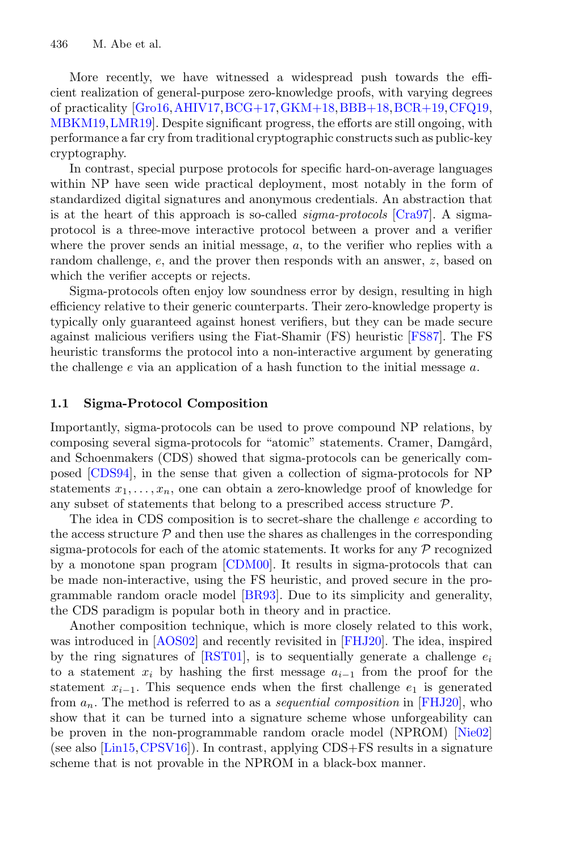More recently, we have witnessed a widespread push towards the efficient realization of general-purpose zero-knowledge proofs, with varying degrees of practicality [\[Gro16](#page-29-1)[,AHIV17](#page-27-0),[BCG+17](#page-27-1)[,GKM+18,](#page-29-2)[BBB+18](#page-27-2)[,BCR+19,](#page-28-0)[CFQ19](#page-28-1), [MBKM19](#page-30-0)[,LMR19\]](#page-30-1). Despite significant progress, the efforts are still ongoing, with performance a far cry from traditional cryptographic constructs such as public-key cryptography.

In contrast, special purpose protocols for specific hard-on-average languages within NP have seen wide practical deployment, most notably in the form of standardized digital signatures and anonymous credentials. An abstraction that is at the heart of this approach is so-called *sigma-protocols* [\[Cra97\]](#page-28-2). A sigmaprotocol is a three-move interactive protocol between a prover and a verifier where the prover sends an initial message,  $a$ , to the verifier who replies with a random challenge, e, and the prover then responds with an answer, z, based on which the verifier accepts or rejects.

Sigma-protocols often enjoy low soundness error by design, resulting in high efficiency relative to their generic counterparts. Their zero-knowledge property is typically only guaranteed against honest verifiers, but they can be made secure against malicious verifiers using the Fiat-Shamir (FS) heuristic [\[FS87\]](#page-29-3). The FS heuristic transforms the protocol into a non-interactive argument by generating the challenge  $e$  via an application of a hash function to the initial message  $a$ .

#### **1.1 Sigma-Protocol Composition**

Importantly, sigma-protocols can be used to prove compound NP relations, by composing several sigma-protocols for "atomic" statements. Cramer, Damgård, and Schoenmakers (CDS) showed that sigma-protocols can be generically composed [\[CDS94](#page-28-3)], in the sense that given a collection of sigma-protocols for NP statements  $x_1, \ldots, x_n$ , one can obtain a zero-knowledge proof of knowledge for any subset of statements that belong to a prescribed access structure  $P$ .

The idea in CDS composition is to secret-share the challenge  $e$  according to the access structure  $\mathcal{P}$  and then use the shares as challenges in the corresponding sigma-protocols for each of the atomic statements. It works for any  $P$  recognized by a monotone span program [\[CDM00\]](#page-28-4). It results in sigma-protocols that can be made non-interactive, using the FS heuristic, and proved secure in the programmable random oracle model [\[BR93\]](#page-28-5). Due to its simplicity and generality, the CDS paradigm is popular both in theory and in practice.

Another composition technique, which is more closely related to this work, was introduced in [\[AOS02\]](#page-27-3) and recently revisited in [\[FHJ20](#page-29-4)]. The idea, inspired by the ring signatures of  $[RT01]$ , is to sequentially generate a challenge  $e_i$ to a statement  $x_i$  by hashing the first message  $a_{i-1}$  from the proof for the statement  $x_{i-1}$ . This sequence ends when the first challenge  $e_1$  is generated from an. The method is referred to as a *sequential composition* in [\[FHJ20\]](#page-29-4), who show that it can be turned into a signature scheme whose unforgeability can be proven in the non-programmable random oracle model (NPROM) [\[Nie02](#page-30-3)] (see also [\[Lin15,](#page-29-5)[CPSV16](#page-28-6)]). In contrast, applying CDS+FS results in a signature scheme that is not provable in the NPROM in a black-box manner.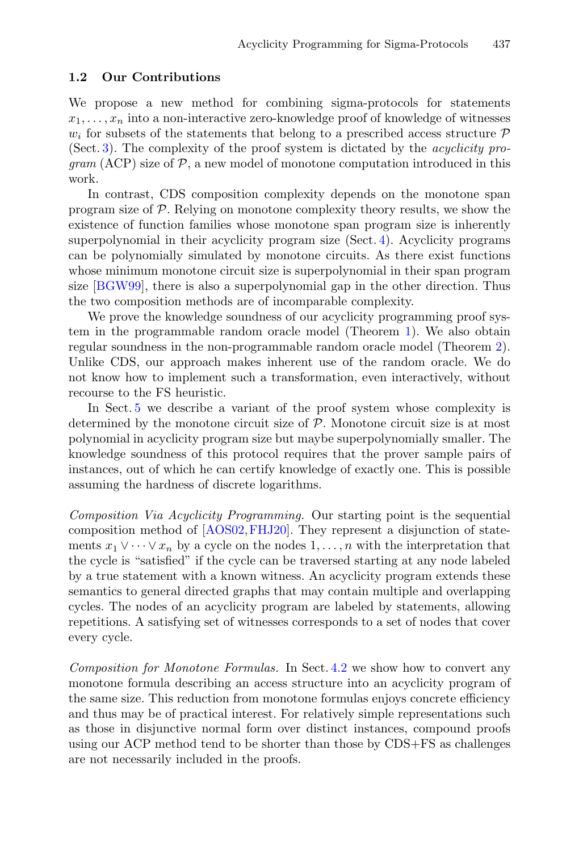### **1.2 Our Contributions**

We propose a new method for combining sigma-protocols for statements  $x_1, \ldots, x_n$  into a non-interactive zero-knowledge proof of knowledge of witnesses  $w_i$  for subsets of the statements that belong to a prescribed access structure  $\mathcal P$ (Sect. [3\)](#page-10-0). The complexity of the proof system is dictated by the *acyclicity pro-* $\gamma$ *gram* (ACP) size of  $P$ , a new model of monotone computation introduced in this work.

In contrast, CDS composition complexity depends on the monotone span program size of P. Relying on monotone complexity theory results, we show the existence of function families whose monotone span program size is inherently superpolynomial in their acyclicity program size (Sect. [4\)](#page-17-0). Acyclicity programs can be polynomially simulated by monotone circuits. As there exist functions whose minimum monotone circuit size is superpolynomial in their span program size [\[BGW99](#page-28-7)], there is also a superpolynomial gap in the other direction. Thus the two composition methods are of incomparable complexity.

We prove the knowledge soundness of our acyclicity programming proof system in the programmable random oracle model (Theorem [1\)](#page-11-0). We also obtain regular soundness in the non-programmable random oracle model (Theorem [2\)](#page-16-0). Unlike CDS, our approach makes inherent use of the random oracle. We do not know how to implement such a transformation, even interactively, without recourse to the FS heuristic.

In Sect. [5](#page-22-0) we describe a variant of the proof system whose complexity is determined by the monotone circuit size of  $P$ . Monotone circuit size is at most polynomial in acyclicity program size but maybe superpolynomially smaller. The knowledge soundness of this protocol requires that the prover sample pairs of instances, out of which he can certify knowledge of exactly one. This is possible assuming the hardness of discrete logarithms.

*Composition Via Acyclicity Programming.* Our starting point is the sequential composition method of [\[AOS02](#page-27-3)[,FHJ20](#page-29-4)]. They represent a disjunction of statements  $x_1 \vee \cdots \vee x_n$  by a cycle on the nodes  $1,\ldots,n$  with the interpretation that the cycle is "satisfied" if the cycle can be traversed starting at any node labeled by a true statement with a known witness. An acyclicity program extends these semantics to general directed graphs that may contain multiple and overlapping cycles. The nodes of an acyclicity program are labeled by statements, allowing repetitions. A satisfying set of witnesses corresponds to a set of nodes that cover every cycle.

*Composition for Monotone Formulas.* In Sect. [4.2](#page-20-0) we show how to convert any monotone formula describing an access structure into an acyclicity program of the same size. This reduction from monotone formulas enjoys concrete efficiency and thus may be of practical interest. For relatively simple representations such as those in disjunctive normal form over distinct instances, compound proofs using our ACP method tend to be shorter than those by CDS+FS as challenges are not necessarily included in the proofs.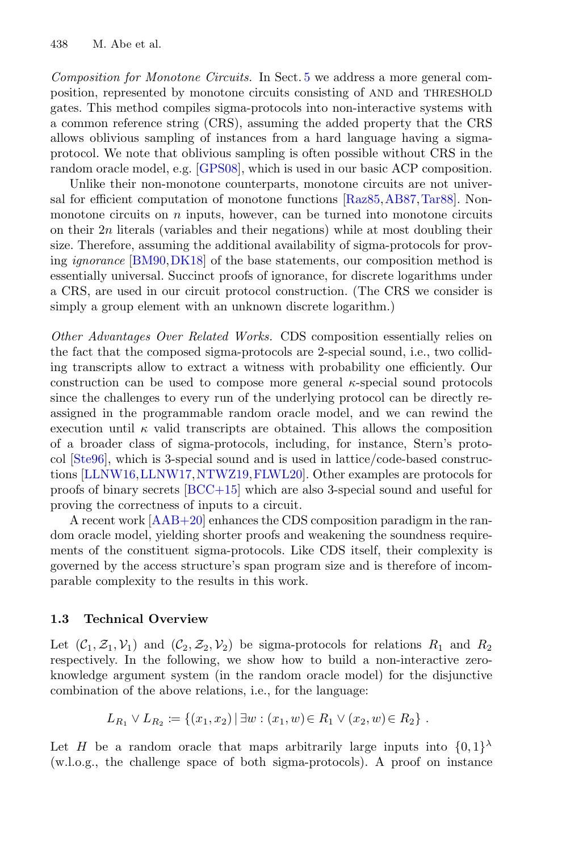*Composition for Monotone Circuits.* In Sect. [5](#page-22-0) we address a more general composition, represented by monotone circuits consisting of AND and THRESHOLD gates. This method compiles sigma-protocols into non-interactive systems with a common reference string (CRS), assuming the added property that the CRS allows oblivious sampling of instances from a hard language having a sigmaprotocol. We note that oblivious sampling is often possible without CRS in the random oracle model, e.g. [\[GPS08\]](#page-29-6), which is used in our basic ACP composition.

Unlike their non-monotone counterparts, monotone circuits are not universal for efficient computation of monotone functions [\[Raz85](#page-30-4)[,AB87](#page-27-4)[,Tar88\]](#page-30-5). Nonmonotone circuits on  $n$  inputs, however, can be turned into monotone circuits on their 2n literals (variables and their negations) while at most doubling their size. Therefore, assuming the additional availability of sigma-protocols for proving *ignorance* [\[BM90](#page-28-8)[,DK18\]](#page-29-7) of the base statements, our composition method is essentially universal. Succinct proofs of ignorance, for discrete logarithms under a CRS, are used in our circuit protocol construction. (The CRS we consider is simply a group element with an unknown discrete logarithm.)

*Other Advantages Over Related Works.* CDS composition essentially relies on the fact that the composed sigma-protocols are 2-special sound, i.e., two colliding transcripts allow to extract a witness with probability one efficiently. Our construction can be used to compose more general  $\kappa$ -special sound protocols since the challenges to every run of the underlying protocol can be directly reassigned in the programmable random oracle model, and we can rewind the execution until  $\kappa$  valid transcripts are obtained. This allows the composition of a broader class of sigma-protocols, including, for instance, Stern's protocol [\[Ste96](#page-30-6)], which is 3-special sound and is used in lattice/code-based construc-tions [\[LLNW16](#page-29-8),[LLNW17,](#page-30-7)[NTWZ19](#page-30-8)[,FLWL20](#page-29-9)]. Other examples are protocols for proofs of binary secrets [\[BCC+15\]](#page-27-5) which are also 3-special sound and useful for proving the correctness of inputs to a circuit.

A recent work [\[AAB+20](#page-27-6)] enhances the CDS composition paradigm in the random oracle model, yielding shorter proofs and weakening the soundness requirements of the constituent sigma-protocols. Like CDS itself, their complexity is governed by the access structure's span program size and is therefore of incomparable complexity to the results in this work.

#### **1.3 Technical Overview**

Let  $(C_1, \mathcal{Z}_1, \mathcal{V}_1)$  and  $(C_2, \mathcal{Z}_2, \mathcal{V}_2)$  be sigma-protocols for relations  $R_1$  and  $R_2$ respectively. In the following, we show how to build a non-interactive zeroknowledge argument system (in the random oracle model) for the disjunctive combination of the above relations, i.e., for the language:

$$
L_{R_1} \vee L_{R_2} := \{(x_1, x_2) \mid \exists w : (x_1, w) \in R_1 \vee (x_2, w) \in R_2\}.
$$

Let H be a random oracle that maps arbitrarily large inputs into  $\{0,1\}^{\lambda}$ (w.l.o.g., the challenge space of both sigma-protocols). A proof on instance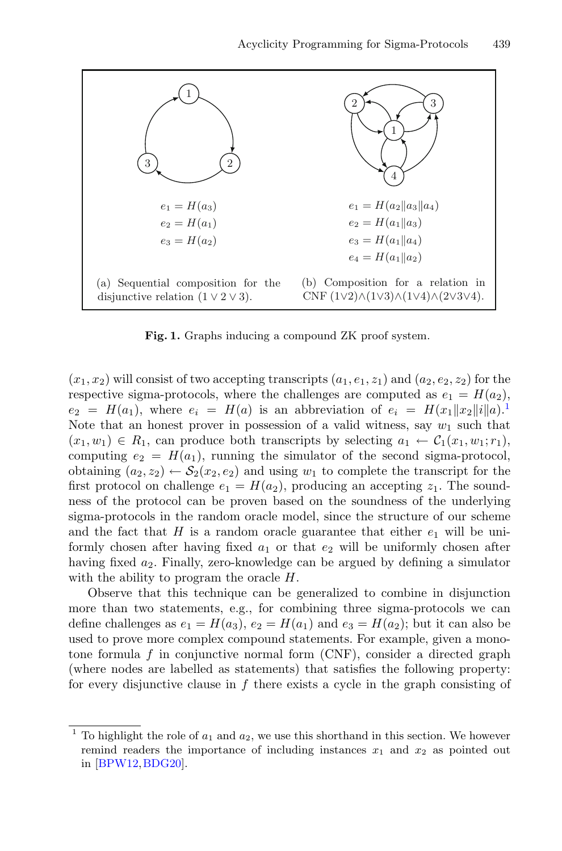

<span id="page-4-1"></span>Fig. 1. Graphs inducing a compound ZK proof system.

 $(x_1, x_2)$  will consist of two accepting transcripts  $(a_1, e_1, z_1)$  and  $(a_2, e_2, z_2)$  for the respective sigma-protocols, where the challenges are computed as  $e_1 = H(a_2)$ ,  $e_2 = H(a_1)$  $e_2 = H(a_1)$  $e_2 = H(a_1)$ , where  $e_i = H(a)$  is an abbreviation of  $e_i = H(x_1||x_2||i||a)^{1}$ . Note that an honest prover in possession of a valid witness, say  $w_1$  such that  $(x_1, w_1) \in R_1$ , can produce both transcripts by selecting  $a_1 \leftarrow C_1(x_1, w_1; r_1)$ , computing  $e_2 = H(a_1)$ , running the simulator of the second sigma-protocol, obtaining  $(a_2, z_2) \leftarrow S_2(x_2, e_2)$  and using  $w_1$  to complete the transcript for the first protocol on challenge  $e_1 = H(a_2)$ , producing an accepting  $z_1$ . The soundness of the protocol can be proven based on the soundness of the underlying sigma-protocols in the random oracle model, since the structure of our scheme and the fact that H is a random oracle guarantee that either  $e_1$  will be uniformly chosen after having fixed  $a_1$  or that  $e_2$  will be uniformly chosen after having fixed  $a_2$ . Finally, zero-knowledge can be argued by defining a simulator with the ability to program the oracle  $H$ .

Observe that this technique can be generalized to combine in disjunction more than two statements, e.g., for combining three sigma-protocols we can define challenges as  $e_1 = H(a_3)$ ,  $e_2 = H(a_1)$  and  $e_3 = H(a_2)$ ; but it can also be used to prove more complex compound statements. For example, given a monotone formula f in conjunctive normal form  $(CNF)$ , consider a directed graph (where nodes are labelled as statements) that satisfies the following property: for every disjunctive clause in  $f$  there exists a cycle in the graph consisting of

<span id="page-4-0"></span>To highlight the role of  $a_1$  and  $a_2$ , we use this shorthand in this section. We however remind readers the importance of including instances  $x_1$  and  $x_2$  as pointed out in [\[BPW12](#page-28-9),[BDG20\]](#page-28-10).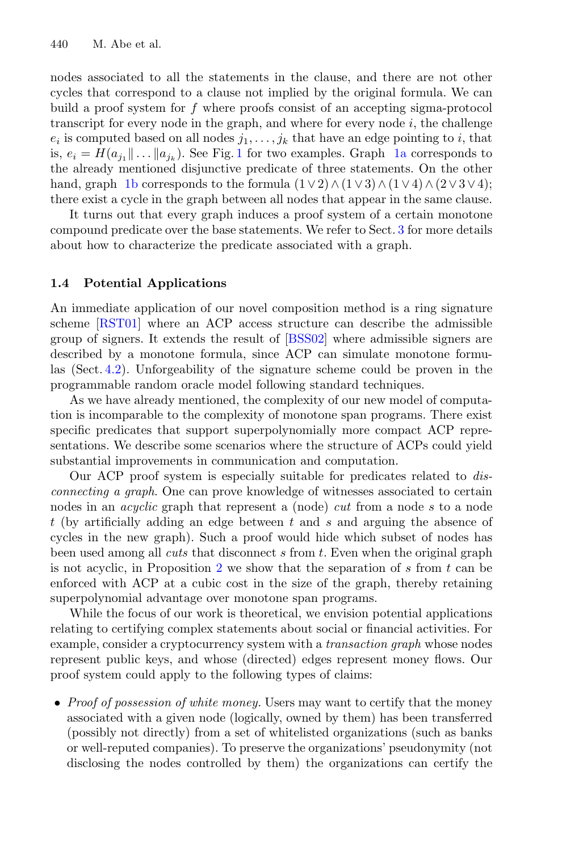nodes associated to all the statements in the clause, and there are not other cycles that correspond to a clause not implied by the original formula. We can build a proof system for f where proofs consist of an accepting sigma-protocol transcript for every node in the graph, and where for every node  $i$ , the challenge  $e_i$  is computed based on all nodes  $j_1,\ldots,j_k$  that have an edge pointing to i, that is,  $e_i = H(a_{j_1} \| \dots \| a_{j_k})$  $e_i = H(a_{j_1} \| \dots \| a_{j_k})$  $e_i = H(a_{j_1} \| \dots \| a_{j_k})$ . See Fig. 1 for two examples. Graph [1a](#page-4-1) corresponds to the already mentioned disjunctive predicate of three statements. On the other hand, graph [1b](#page-4-1) corresponds to the formula  $(1 \vee 2) \wedge (1 \vee 3) \wedge (1 \vee 4) \wedge (2 \vee 3 \vee 4);$ there exist a cycle in the graph between all nodes that appear in the same clause.

It turns out that every graph induces a proof system of a certain monotone compound predicate over the base statements. We refer to Sect. [3](#page-10-0) for more details about how to characterize the predicate associated with a graph.

### **1.4 Potential Applications**

An immediate application of our novel composition method is a ring signature scheme [\[RST01\]](#page-30-2) where an ACP access structure can describe the admissible group of signers. It extends the result of [\[BSS02\]](#page-28-11) where admissible signers are described by a monotone formula, since ACP can simulate monotone formulas (Sect. [4.2\)](#page-20-0). Unforgeability of the signature scheme could be proven in the programmable random oracle model following standard techniques.

As we have already mentioned, the complexity of our new model of computation is incomparable to the complexity of monotone span programs. There exist specific predicates that support superpolynomially more compact ACP representations. We describe some scenarios where the structure of ACPs could yield substantial improvements in communication and computation.

Our ACP proof system is especially suitable for predicates related to *disconnecting a graph*. One can prove knowledge of witnesses associated to certain nodes in an *acyclic* graph that represent a (node) *cut* from a node s to a node t (by artificially adding an edge between  $t$  and  $s$  and arguing the absence of cycles in the new graph). Such a proof would hide which subset of nodes has been used among all *cuts* that disconnect s from t. Even when the original graph is not acyclic, in Proposition [2](#page-19-0) we show that the separation of  $s$  from  $t$  can be enforced with ACP at a cubic cost in the size of the graph, thereby retaining superpolynomial advantage over monotone span programs.

While the focus of our work is theoretical, we envision potential applications relating to certifying complex statements about social or financial activities. For example, consider a cryptocurrency system with a *transaction graph* whose nodes represent public keys, and whose (directed) edges represent money flows. Our proof system could apply to the following types of claims:

• *Proof of possession of white money.* Users may want to certify that the money associated with a given node (logically, owned by them) has been transferred (possibly not directly) from a set of whitelisted organizations (such as banks or well-reputed companies). To preserve the organizations' pseudonymity (not disclosing the nodes controlled by them) the organizations can certify the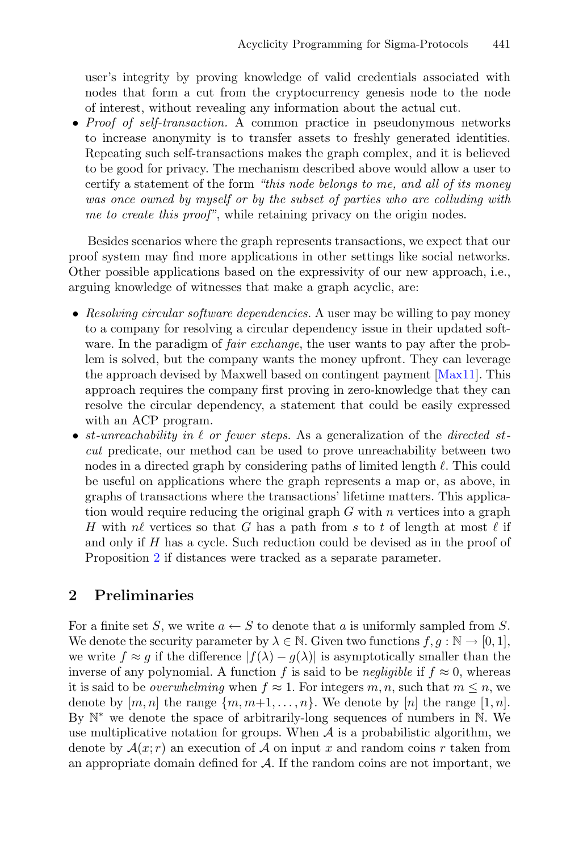user's integrity by proving knowledge of valid credentials associated with nodes that form a cut from the cryptocurrency genesis node to the node of interest, without revealing any information about the actual cut.

• *Proof of self-transaction.* A common practice in pseudonymous networks to increase anonymity is to transfer assets to freshly generated identities. Repeating such self-transactions makes the graph complex, and it is believed to be good for privacy. The mechanism described above would allow a user to certify a statement of the form *"this node belongs to me, and all of its money was once owned by myself or by the subset of parties who are colluding with me to create this proof"*, while retaining privacy on the origin nodes.

Besides scenarios where the graph represents transactions, we expect that our proof system may find more applications in other settings like social networks. Other possible applications based on the expressivity of our new approach, i.e., arguing knowledge of witnesses that make a graph acyclic, are:

- *Resolving circular software dependencies.* A user may be willing to pay money to a company for resolving a circular dependency issue in their updated software. In the paradigm of *fair exchange*, the user wants to pay after the problem is solved, but the company wants the money upfront. They can leverage the approach devised by Maxwell based on contingent payment [\[Max11\]](#page-30-9). This approach requires the company first proving in zero-knowledge that they can resolve the circular dependency, a statement that could be easily expressed with an ACP program.
- st*-unreachability in or fewer steps.* As a generalization of the *directed* st*cut* predicate, our method can be used to prove unreachability between two nodes in a directed graph by considering paths of limited length  $\ell$ . This could be useful on applications where the graph represents a map or, as above, in graphs of transactions where the transactions' lifetime matters. This application would require reducing the original graph  $G$  with  $n$  vertices into a graph H with nl vertices so that G has a path from s to t of length at most  $\ell$  if and only if H has a cycle. Such reduction could be devised as in the proof of Proposition [2](#page-19-0) if distances were tracked as a separate parameter.

## **2 Preliminaries**

For a finite set S, we write  $a \leftarrow S$  to denote that a is uniformly sampled from S. We denote the security parameter by  $\lambda \in \mathbb{N}$ . Given two functions  $f, g : \mathbb{N} \to [0, 1]$ , we write  $f \approx g$  if the difference  $|f(\lambda) - g(\lambda)|$  is asymptotically smaller than the inverse of any polynomial. A function f is said to be *negligible* if  $f \approx 0$ , whereas it is said to be *overwhelming* when  $f \approx 1$ . For integers m, n, such that  $m \leq n$ , we denote by  $[m, n]$  the range  $\{m, m+1, \ldots, n\}$ . We denote by  $[n]$  the range  $[1, n]$ . By N<sup>∗</sup> we denote the space of arbitrarily-long sequences of numbers in N. We use multiplicative notation for groups. When  $A$  is a probabilistic algorithm, we denote by  $\mathcal{A}(x; r)$  an execution of  $\mathcal A$  on input x and random coins r taken from an appropriate domain defined for  $A$ . If the random coins are not important, we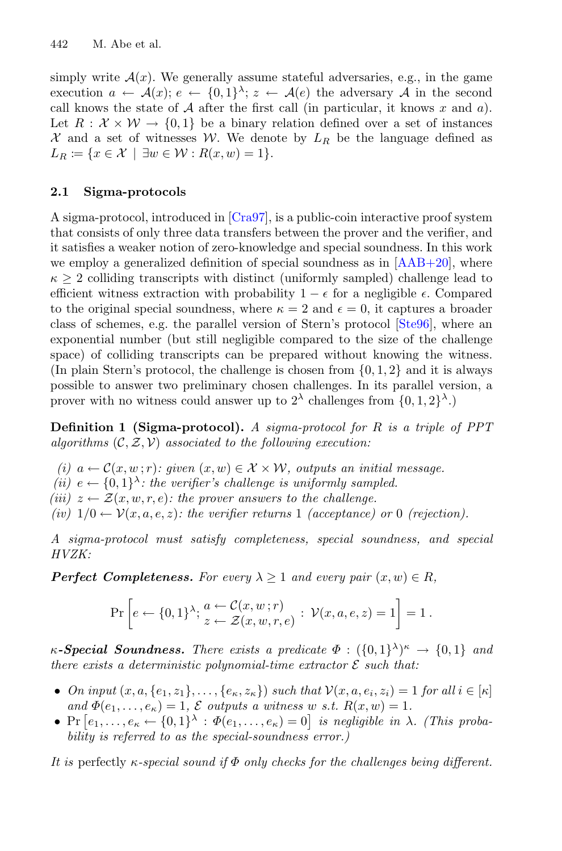simply write  $A(x)$ . We generally assume stateful adversaries, e.g., in the game execution  $a \leftarrow \mathcal{A}(x); e \leftarrow \{0,1\}^{\lambda}; z \leftarrow \mathcal{A}(e)$  the adversary A in the second call knows the state of  $A$  after the first call (in particular, it knows  $x$  and  $a$ ). Let  $R : \mathcal{X} \times \mathcal{W} \rightarrow \{0,1\}$  be a binary relation defined over a set of instances  $\mathcal X$  and a set of witnesses W. We denote by  $L_R$  be the language defined as  $L_R \coloneqq \{x \in \mathcal{X} \mid \exists w \in \mathcal{W} : R(x, w) = 1\}.$ 

## **2.1 Sigma-protocols**

A sigma-protocol, introduced in [\[Cra97](#page-28-2)], is a public-coin interactive proof system that consists of only three data transfers between the prover and the verifier, and it satisfies a weaker notion of zero-knowledge and special soundness. In this work we employ a generalized definition of special soundness as in  $[AAB+20]$ , where  $\kappa \geq 2$  colliding transcripts with distinct (uniformly sampled) challenge lead to efficient witness extraction with probability  $1 - \epsilon$  for a negligible  $\epsilon$ . Compared to the original special soundness, where  $\kappa = 2$  and  $\epsilon = 0$ , it captures a broader class of schemes, e.g. the parallel version of Stern's protocol [\[Ste96\]](#page-30-6), where an exponential number (but still negligible compared to the size of the challenge space) of colliding transcripts can be prepared without knowing the witness. (In plain Stern's protocol, the challenge is chosen from  $\{0, 1, 2\}$  and it is always possible to answer two preliminary chosen challenges. In its parallel version, a prover with no witness could answer up to  $2^{\lambda}$  challenges from  $\{0, 1, 2\}^{\lambda}$ .

**Definition 1 (Sigma-protocol).** *A sigma-protocol for* R *is a triple of PPT algorithms* (C, Z, V) *associated to the following execution:*

- *(i)*  $a \leftarrow C(x, w; r)$ : given  $(x, w) \in \mathcal{X} \times \mathcal{W}$ , outputs an initial message.
- *(ii)*  $e \leftarrow \{0,1\}^{\lambda}$ : the verifier's challenge is uniformly sampled.
- *(iii)*  $z \leftarrow \mathcal{Z}(x, w, r, e)$ *: the prover answers to the challenge.*
- *(iv)*  $1/0 \leftarrow \mathcal{V}(x, a, e, z)$ *: the verifier returns* 1 *(acceptance)* or 0 *(rejection).*

*A sigma-protocol must satisfy completeness, special soundness, and special HVZK:*

*Perfect Completeness. For every*  $\lambda \geq 1$  *and every pair*  $(x, w) \in R$ ,

$$
\Pr\left[e \leftarrow \{0,1\}^{\lambda}; \frac{a \leftarrow C(x,w;r)}{z \leftarrow \mathcal{Z}(x,w,r,e)}: \mathcal{V}(x,a,e,z) = 1\right] = 1.
$$

 $\kappa$ -**Special Soundness.** There exists a predicate  $\Phi$  :  $(\{0,1\}^{\lambda})^{\kappa} \rightarrow \{0,1\}$  and *there exists a deterministic polynomial-time extractor*  $\mathcal{E}$  *such that:* 

- *On input*  $(x, a, \{e_1, z_1\}, \ldots, \{e_\kappa, z_\kappa\})$  *such that*  $\mathcal{V}(x, a, e_i, z_i) = 1$  *for all*  $i \in [\kappa]$ *and*  $\Phi(e_1,\ldots,e_\kappa)=1, \mathcal{E}$  *outputs a witness* w *s.t.*  $R(x,w)=1$ .
- $\Pr\left[e_1,\ldots,e_\kappa\leftarrow\{0,1\}^\lambda:\Phi(e_1,\ldots,e_\kappa)=0\right]$  *is negligible in*  $\lambda$ *. (This probability is referred to as the special-soundness error.)*

*It is* perfectly κ*-special sound if* Φ *only checks for the challenges being different.*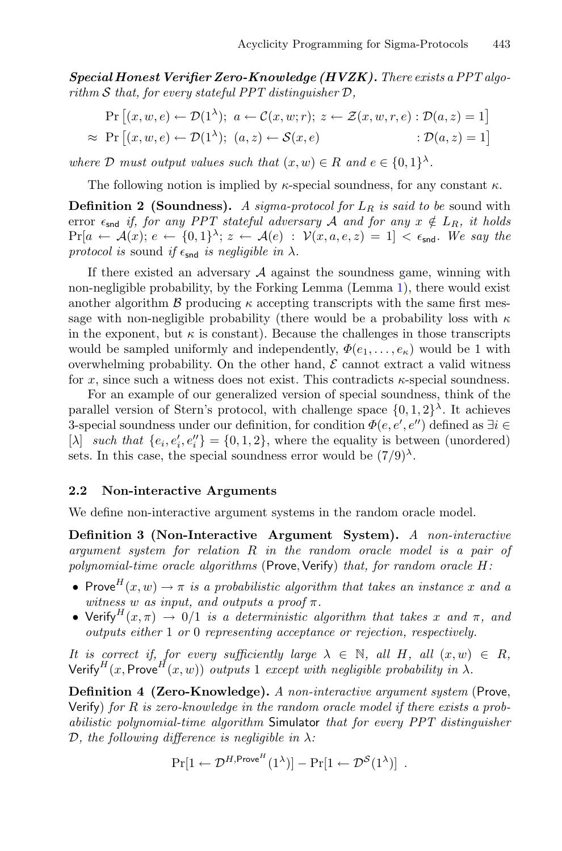*Special Honest Verifier Zero-Knowledge (HVZK). There exists a PPT algorithm* S *that, for every stateful PPT distinguisher* D*,*

$$
\Pr\left[(x, w, e) \leftarrow \mathcal{D}(1^{\lambda}); \ a \leftarrow \mathcal{C}(x, w; r); z \leftarrow \mathcal{Z}(x, w, r, e) : \mathcal{D}(a, z) = 1\right] \\
\approx \Pr\left[(x, w, e) \leftarrow \mathcal{D}(1^{\lambda}); \ (a, z) \leftarrow \mathcal{S}(x, e) \qquad : \mathcal{D}(a, z) = 1\right]\n\end{aligned}
$$

*where*  $D$  *must output values such that*  $(x, w) \in R$  *and*  $e \in \{0, 1\}^{\lambda}$ *.* 

The following notion is implied by  $\kappa$ -special soundness, for any constant  $\kappa$ .

**Definition 2 (Soundness).** A sigma-protocol for  $L_R$  is said to be sound with error  $\epsilon_{\text{snd}}$  *if, for any PPT stateful adversary* A *and for any*  $x \notin L_R$ *, it holds*  $Pr[a \leftarrow A(x); e \leftarrow \{0,1\}^{\lambda}; z \leftarrow A(e) : \mathcal{V}(x, a, e, z) = 1] < \epsilon_{\mathsf{snd}}$ . We say the *protocol is* sound *if*  $\epsilon_{\text{snd}}$  *is negligible in*  $\lambda$ *.* 

If there existed an adversary  $A$  against the soundness game, winning with non-negligible probability, by the Forking Lemma (Lemma [1\)](#page-15-0), there would exist another algorithm  $\beta$  producing  $\kappa$  accepting transcripts with the same first message with non-negligible probability (there would be a probability loss with  $\kappa$ in the exponent, but  $\kappa$  is constant). Because the challenges in those transcripts would be sampled uniformly and independently,  $\Phi(e_1,\ldots,e_\kappa)$  would be 1 with overwhelming probability. On the other hand,  $\mathcal E$  cannot extract a valid witness for x, since such a witness does not exist. This contradicts  $\kappa$ -special soundness.

For an example of our generalized version of special soundness, think of the parallel version of Stern's protocol, with challenge space  $\{0, 1, 2\}^{\lambda}$ . It achieves 3-special soundness under our definition, for condition  $\Phi(e, e', e'')$  defined as  $\exists i \in \mathbb{N}$ [ $\lambda$ ] *such that*  $\{e_i, e'_i, e''_i\} = \{0, 1, 2\}$ , where the equality is between (unordered) sets. In this case, the special soundness error would be  $(7/9)^{\lambda}$ .

#### **2.2 Non-interactive Arguments**

We define non-interactive argument systems in the random oracle model.

**Definition 3 (Non-Interactive Argument System).** *A non-interactive argument system for relation* R *in the random oracle model is a pair of polynomial-time oracle algorithms* (Prove, Verify) *that, for random oracle*  $H$ :

- Prove  $H(x, w) \to \pi$  *is a probabilistic algorithm that takes an instance* x and a *witness* w *as input, and outputs a proof*  $\pi$ *.*
- Verify<sup>H</sup> $(x, \pi) \rightarrow 0/1$  *is a deterministic algorithm that takes* x and  $\pi$ , and *outputs either* 1 *or* 0 *representing acceptance or rejection, respectively.*

*It is correct if, for every sufficiently large*  $\lambda \in \mathbb{N}$ *, all*  $H$ *, all*  $(x, w) \in R$ *,* Verify<sup>H</sup>(x, Prove<sup>H</sup>(x, w)) *outputs* 1 *except with negligible probability in*  $\lambda$ *.* 

**Definition 4 (Zero-Knowledge).** *A non-interactive argument system* (Prove, Verify) *for* R *is zero-knowledge in the random oracle model if there exists a probabilistic polynomial-time algorithm* Simulator *that for every PPT distinguisher* D*, the following difference is negligible in* λ*:*

$$
\Pr[1 \leftarrow \mathcal{D}^{H,\text{Prove}^H}(1^{\lambda})] - \Pr[1 \leftarrow \mathcal{D}^S(1^{\lambda})].
$$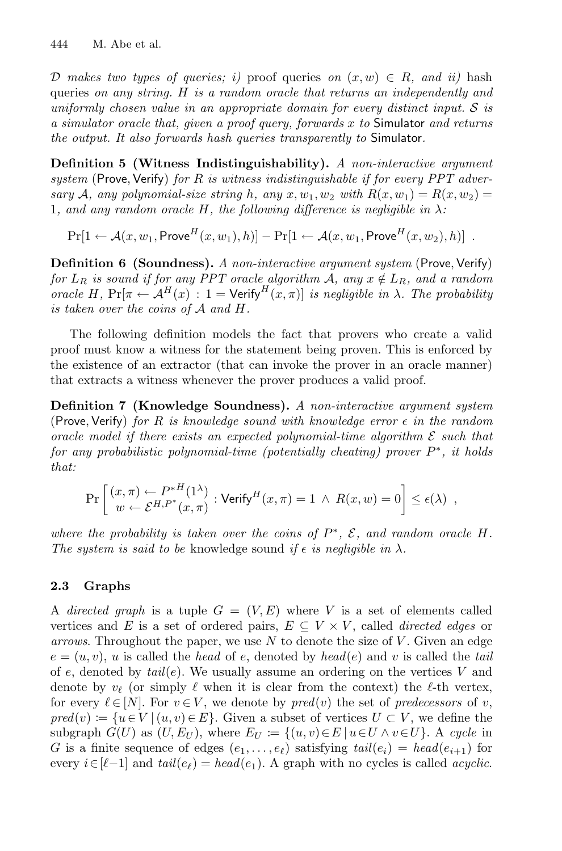D makes two types of queries; i) proof queries on  $(x, w) \in R$ , and ii) hash queries *on any string.* H *is a random oracle that returns an independently and uniformly chosen value in an appropriate domain for every distinct input.* S *is a simulator oracle that, given a proof query, forwards* x *to* Simulator *and returns the output. It also forwards hash queries transparently to* Simulator*.*

**Definition 5 (Witness Indistinguishability).** *A non-interactive argument system* (Prove,Verify) *for* R *is witness indistinguishable if for every PPT adversary* A, any polynomial-size string h, any  $x, w_1, w_2$  with  $R(x, w_1) = R(x, w_2) =$ 1*, and any random oracle* H*, the following difference is negligible in* λ*:*

 $Pr[1 \leftarrow \mathcal{A}(x, w_1, \text{Prove}^H(x, w_1), h)] - Pr[1 \leftarrow \mathcal{A}(x, w_1, \text{Prove}^H(x, w_2), h)]$ .

<span id="page-9-0"></span>**Definition 6 (Soundness).** *A non-interactive argument system* (Prove, Verify) *for*  $L_R$  *is sound if for any PPT oracle algorithm* A, any  $x \notin L_R$ *, and a random oracle* H,  $Pr[\pi \leftarrow A^H(x) : 1 = \text{Verify}^H(x, \pi)]$  *is negligible in*  $\lambda$ *. The probability is taken over the coins of* A *and* H*.*

The following definition models the fact that provers who create a valid proof must know a witness for the statement being proven. This is enforced by the existence of an extractor (that can invoke the prover in an oracle manner) that extracts a witness whenever the prover produces a valid proof.

**Definition 7 (Knowledge Soundness).** *A non-interactive argument system* (Prove,Verify) *for* R *is knowledge sound with knowledge error in the random oracle model if there exists an expected polynomial-time algorithm* E *such that for any probabilistic polynomial-time (potentially cheating) prover* P∗*, it holds that:*

$$
\Pr\left[\begin{array}{c}(x,\pi) \leftarrow P^{*H}(1^{\lambda})\\w \leftarrow \mathcal{E}^{H,P^*}(x,\pi)\end{array}:\text{Verify}^H(x,\pi) = 1 \ \wedge \ R(x,w) = 0\right] \leq \epsilon(\lambda) \ ,
$$

*where the probability is taken over the coins of* P∗*,* E*, and random oracle* H*. The system is said to be* knowledge sound *if*  $\epsilon$  *is negligible in*  $\lambda$ *.* 

## **2.3 Graphs**

A *directed graph* is a tuple  $G = (V, E)$  where V is a set of elements called vertices and E is a set of ordered pairs,  $E \subseteq V \times V$ , called *directed edges* or *arrows*. Throughout the paper, we use N to denote the size of V . Given an edge  $e = (u, v)$ , u is called the *head* of e, denoted by *head*(e) and v is called the *tail* of  $e$ , denoted by  $tail(e)$ . We usually assume an ordering on the vertices V and denote by  $v_{\ell}$  (or simply  $\ell$  when it is clear from the context) the  $\ell$ -th vertex, for every  $\ell \in [N]$ . For  $v \in V$ , we denote by  $pred(v)$  the set of *predecessors* of v,  $pred(v) := \{u \in V \mid (u, v) \in E\}.$  Given a subset of vertices  $U \subset V$ , we define the subgraph  $G(U)$  as  $(U, E_U)$ , where  $E_U := \{(u, v) \in E \mid u \in U \land v \in U\}$ . A *cycle* in G is a finite sequence of edges  $(e_1, \ldots, e_\ell)$  satisfying  $tail(e_i) = head(e_{i+1})$  for every  $i \in [\ell-1]$  and  $tail(e_{\ell}) = head(e_1)$ . A graph with no cycles is called *acyclic*.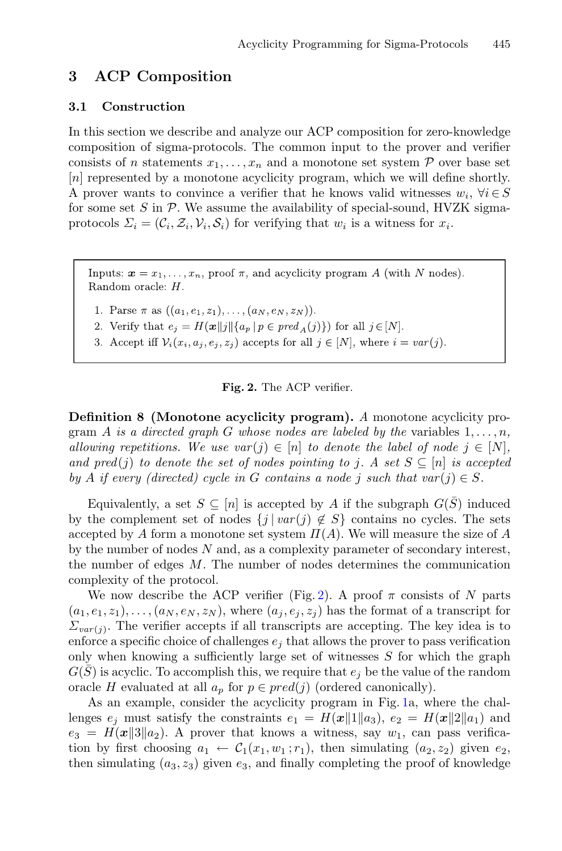## <span id="page-10-0"></span>**3 ACP Composition**

#### **3.1 Construction**

In this section we describe and analyze our ACP composition for zero-knowledge composition of sigma-protocols. The common input to the prover and verifier consists of n statements  $x_1, \ldots, x_n$  and a monotone set system P over base set [n] represented by a monotone acyclicity program, which we will define shortly. A prover wants to convince a verifier that he knows valid witnesses  $w_i, \forall i \in S$ for some set  $S$  in  $P$ . We assume the availability of special-sound, HVZK sigmaprotocols  $\Sigma_i = (\mathcal{C}_i, \mathcal{Z}_i, \mathcal{V}_i, \mathcal{S}_i)$  for verifying that  $w_i$  is a witness for  $x_i$ .

Inputs:  $\boldsymbol{x} = x_1, \ldots, x_n$ , proof  $\pi$ , and acyclicity program A (with N nodes). Random oracle: H.

1. Parse  $\pi$  as  $((a_1, e_1, z_1), \ldots, (a_N, e_N, z_N)).$ 

2. Verify that  $e_j = H(\boldsymbol{x}||j||\{a_p \mid p \in pred_A(j)\})$  for all  $j \in [N]$ .

3. Accept iff  $\mathcal{V}_i(x_i, a_j, e_j, z_j)$  accepts for all  $j \in [N]$ , where  $i = var(j)$ .

#### <span id="page-10-1"></span>**Fig. 2.** The ACP verifier.

**Definition 8 (Monotone acyclicity program).** *A* monotone acyclicity program A is a directed graph G whose nodes are labeled by the variables  $1, \ldots, n$ , *allowing repetitions. We use var* $(j) \in [n]$  *to denote the label of node*  $j \in [N]$ , *and pred*(*j*) *to denote the set of nodes pointing to j.* A set  $S \subseteq [n]$  *is accepted by* A *if every (directed) cycle in* G *contains a node j such that var* $(i) \in S$ *.* 

Equivalently, a set  $S \subseteq [n]$  is accepted by A if the subgraph  $G(\bar{S})$  induced by the complement set of nodes  $\{j \mid var(j) \notin S\}$  contains no cycles. The sets accepted by A form a monotone set system  $\Pi(A)$ . We will measure the size of A by the number of nodes N and, as a complexity parameter of secondary interest, the number of edges M. The number of nodes determines the communication complexity of the protocol.

We now describe the ACP verifier (Fig. [2\)](#page-10-1). A proof  $\pi$  consists of N parts  $(a_1, e_1, z_1), \ldots, (a_N, e_N, z_N)$ , where  $(a_i, e_i, z_i)$  has the format of a transcript for  $\Sigma_{var(j)}$ . The verifier accepts if all transcripts are accepting. The key idea is to enforce a specific choice of challenges  $e_j$  that allows the prover to pass verification only when knowing a sufficiently large set of witnesses  $S$  for which the graph  $G(S)$  is acyclic. To accomplish this, we require that  $e_i$  be the value of the random oracle H evaluated at all  $a_p$  for  $p \in pred(j)$  (ordered canonically).

As an example, consider the acyclicity program in Fig. [1a](#page-4-1), where the challenges  $e_j$  must satisfy the constraints  $e_1 = H(x||1||a_3), e_2 = H(x||2||a_1)$  and  $e_3 = H(x||3||a_2)$ . A prover that knows a witness, say  $w_1$ , can pass verification by first choosing  $a_1 \leftarrow C_1(x_1, w_1; r_1)$ , then simulating  $(a_2, z_2)$  given  $e_2$ , then simulating  $(a_3, z_3)$  given  $e_3$ , and finally completing the proof of knowledge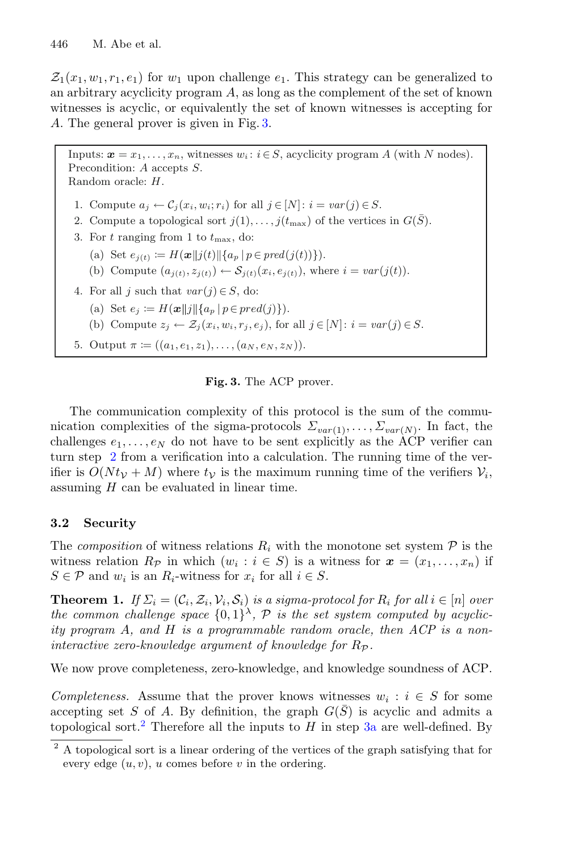$\mathcal{Z}_1(x_1, w_1, r_1, e_1)$  for  $w_1$  upon challenge  $e_1$ . This strategy can be generalized to an arbitrary acyclicity program  $A$ , as long as the complement of the set of known witnesses is acyclic, or equivalently the set of known witnesses is accepting for A. The general prover is given in Fig. [3.](#page-11-1)

Inputs:  $\mathbf{x} = x_1, \ldots, x_n$ , witnesses  $w_i : i \in S$ , acyclicity program A (with N nodes). Precondition: A accepts S. Random oracle: H.

1. Compute  $a_j \leftarrow C_j(x_i, w_i; r_i)$  for all  $j \in [N]: i = var(j) \in S$ .

- 2. Compute a topological sort  $j(1),...,j(t_{\text{max}})$  of the vertices in  $G(\bar{S})$ .
- 3. For  $t$  ranging from 1 to  $t_{\text{max}}$ , do:
	- (a) Set  $e_{j(t)} := H(\boldsymbol{x} || j(t) || \{ a_p \mid p \in pred(j(t)) \} ).$
	- (b) Compute  $(a_{i(t)}, z_{i(t)}) \leftarrow S_{i(t)}(x_i, e_{i(t)})$ , where  $i = var(j(t))$ .
- 4. For all *j* such that  $var(j) \in S$ , do:
	- (a) Set  $e_j \coloneqq H(\boldsymbol{x}||j||\{a_p \mid p \in pred(j)\}).$
	- (b) Compute  $z_j \leftarrow \mathcal{Z}_j(x_i, w_i, r_j, e_j)$ , for all  $j \in [N]$ :  $i = var(j) \in S$ .
- 5. Output  $\pi := ((a_1, e_1, z_1), \ldots, (a_N, e_N, z_N)).$

#### <span id="page-11-1"></span>**Fig. 3.** The ACP prover.

The communication complexity of this protocol is the sum of the communication complexities of the sigma-protocols  $\Sigma_{var(1)},\ldots,\Sigma_{var(N)}$ . In fact, the challenges  $e_1, \ldots, e_N$  do not have to be sent explicitly as the ACP verifier can turn step [2](#page-11-1) from a verification into a calculation. The running time of the verifier is  $O(N t<sub>V</sub> + M)$  where  $t<sub>V</sub>$  is the maximum running time of the verifiers  $V<sub>i</sub>$ , assuming  $H$  can be evaluated in linear time.

### **3.2 Security**

The *composition* of witness relations  $R_i$  with the monotone set system  $P$  is the witness relation  $R_{\mathcal{P}}$  in which  $(w_i : i \in S)$  is a witness for  $\mathbf{x} = (x_1, \ldots, x_n)$  if  $S \in \mathcal{P}$  and  $w_i$  is an  $R_i$ -witness for  $x_i$  for all  $i \in S$ .

<span id="page-11-0"></span>**Theorem 1.** *If*  $\Sigma_i = (\mathcal{C}_i, \mathcal{Z}_i, \mathcal{V}_i, \mathcal{S}_i)$  *is a sigma-protocol for*  $R_i$  *for all*  $i \in [n]$  *over the common challenge space*  $\{0,1\}^{\lambda}$ ,  $P$  *is the set system computed by acyclicity program* A*, and* H *is a programmable random oracle, then ACP is a noninteractive zero-knowledge argument of knowledge for*  $R_{\mathcal{P}}$ *.* 

We now prove completeness, zero-knowledge, and knowledge soundness of ACP.

*Completeness.* Assume that the prover knows witnesses  $w_i : i \in S$  for some accepting set S of A. By definition, the graph  $G(\bar{S})$  is acyclic and admits a topological sort.<sup>[2](#page-11-2)</sup> Therefore all the inputs to H in step  $3a$  are well-defined. By

<span id="page-11-2"></span><sup>2</sup> A topological sort is a linear ordering of the vertices of the graph satisfying that for every edge  $(u, v)$ , u comes before v in the ordering.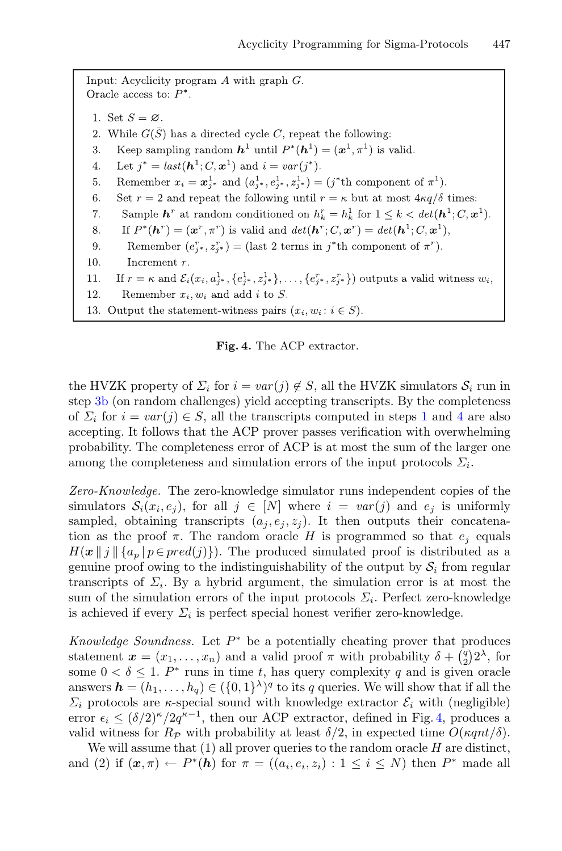Input: Acyclicity program  $A$  with graph  $G$ . Oracle access to:  $\mathcal{P}^*.$ 1. Set  $S = \emptyset$ . 2. While  $G(\bar{S})$  has a directed cycle C, repeat the following: Keep sampling random  $\mathbf{h}^1$  until  $P^*(\mathbf{h}^1) = (\mathbf{x}^1, \pi^1)$  is valid. 3. Let  $j^* = last(h^1; C, \mathbf{x}^1)$  and  $i = var(j^*)$ . 4. Remember  $x_i = \mathbf{x}_{i^*}^1$  and  $(a_{i^*}^1, e_{i^*}^1, z_{i^*}^1) = (j^*$ th component of  $\pi^1$ ). 5. Set  $r = 2$  and repeat the following until  $r = \kappa$  but at most  $4\kappa q/\delta$  times: 6. Sample  $\mathbf{h}^r$  at random conditioned on  $h_k^r = h_k^1$  for  $1 \leq k < \det(\mathbf{h}^1; C, \mathbf{x}^1)$ . 7. If  $P^*(\mathbf{h}^r) = (\mathbf{x}^r, \pi^r)$  is valid and  $det(\mathbf{h}^r; C, \mathbf{x}^r) = det(\mathbf{h}^1; C, \mathbf{x}^1)$ , 8. Remember  $(e_{i^*}^r, z_{i^*}^r) =$  (last 2 terms in  $j^*$ th component of  $\pi^r$ ). 9. 10. Increment  $r$ . If  $r = \kappa$  and  $\mathcal{E}_i(x_i, a_{j^*}^1, \{e_{j^*}^1, z_{j^*}^1\}, \ldots, \{e_{j^*}^r, z_{j^*}^r\})$  outputs a valid witness  $w_i$ , 11. Remember  $x_i, w_i$  and add i to S. 12. 13. Output the statement-witness pairs  $(x_i, w_i : i \in S)$ .

<span id="page-12-0"></span>**Fig. 4.** The ACP extractor.

the HVZK property of  $\Sigma_i$  for  $i = var(j) \notin S$ , all the HVZK simulators  $S_i$  run in step [3b](#page-12-0) (on random challenges) yield accepting transcripts. By the completeness of  $\Sigma_i$  for  $i = var(j) \in S$ , all the transcripts computed in steps [1](#page-12-0) and [4](#page-12-0) are also accepting. It follows that the ACP prover passes verification with overwhelming probability. The completeness error of ACP is at most the sum of the larger one among the completeness and simulation errors of the input protocols  $\Sigma_i$ .

*Zero-Knowledge.* The zero-knowledge simulator runs independent copies of the simulators  $S_i(x_i, e_j)$ , for all  $j \in [N]$  where  $i = var(j)$  and  $e_j$  is uniformly sampled, obtaining transcripts  $(a_i, e_i, z_i)$ . It then outputs their concatenation as the proof  $\pi$ . The random oracle H is programmed so that  $e_i$  equals  $H(\boldsymbol{x} \mid j \mid \{a_p \mid p \in pred(j)\})$ . The produced simulated proof is distributed as a genuine proof owing to the indistinguishability of the output by  $S_i$  from regular transcripts of  $\Sigma_i$ . By a hybrid argument, the simulation error is at most the sum of the simulation errors of the input protocols  $\Sigma_i$ . Perfect zero-knowledge is achieved if every  $\Sigma_i$  is perfect special honest verifier zero-knowledge.

*Knowledge Soundness.* Let P<sup>∗</sup> be a potentially cheating prover that produces statement  $\boldsymbol{x} = (x_1, \ldots, x_n)$  and a valid proof  $\pi$  with probability  $\delta + \binom{q}{2} 2^{\lambda}$ , for some  $0 < \delta \leq 1$ . P<sup>\*</sup> runs in time t, has query complexity q and is given oracle answers  $\mathbf{h} = (h_1, \ldots, h_q) \in (\{0, 1\}^{\lambda})^q$  to its q queries. We will show that if all the  $\Sigma_i$  protocols are *κ*-special sound with knowledge extractor  $\mathcal{E}_i$  with (negligible) error  $\epsilon_i \leq (\delta/2)^{\kappa}/2q^{\kappa-1}$ , then our ACP extractor, defined in Fig. [4,](#page-12-0) produces a valid witness for  $R_p$  with probability at least  $\delta/2$ , in expected time  $O(\kappa qnt/\delta)$ .

We will assume that  $(1)$  all prover queries to the random oracle  $H$  are distinct, and (2) if  $(\mathbf{x}, \pi) \leftarrow P^*(h)$  for  $\pi = ((a_i, e_i, z_i): 1 \leq i \leq N)$  then  $P^*$  made all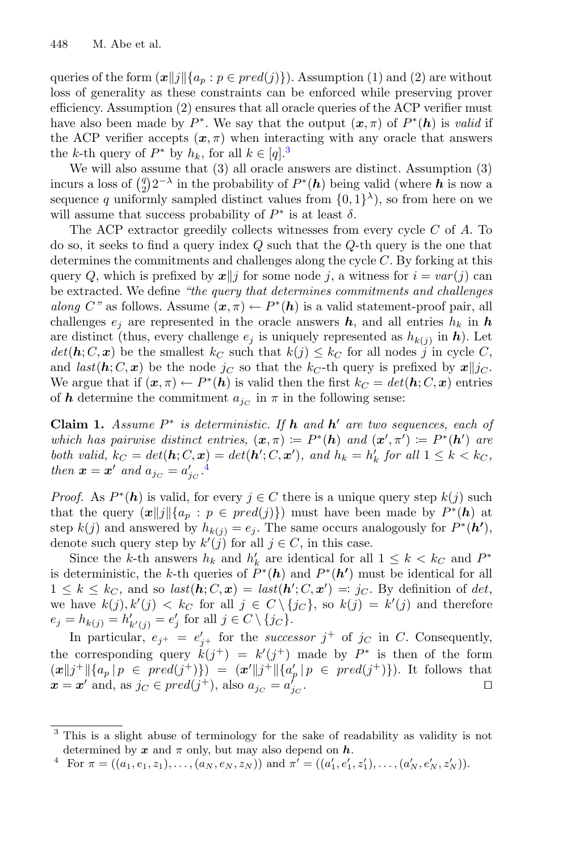queries of the form  $(\boldsymbol{x}||j||\{a_p : p \in pred(j)\})$ . Assumption (1) and (2) are without loss of generality as these constraints can be enforced while preserving prover efficiency. Assumption (2) ensures that all oracle queries of the ACP verifier must have also been made by  $P^*$ . We say that the output  $(\mathbf{x}, \pi)$  of  $P^*(h)$  is *valid* if the ACP verifier accepts  $(x, \pi)$  when interacting with any oracle that answers the k-th query of  $P^*$  by  $h_k$ , for all  $k \in [q]^3$  $k \in [q]^3$ 

We will also assume that (3) all oracle answers are distinct. Assumption (3) incurs a loss of  $\binom{q}{2} 2^{-\lambda}$  in the probability of  $P^*(h)$  being valid (where *h* is now a sequence q uniformly sampled distinct values from  $\{0,1\}^{\lambda}$ , so from here on we will assume that success probability of  $P^*$  is at least  $\delta$ .

The ACP extractor greedily collects witnesses from every cycle C of A. To do so, it seeks to find a query index  $Q$  such that the  $Q$ -th query is the one that determines the commitments and challenges along the cycle C. By forking at this query Q, which is prefixed by  $x||j$  for some node j, a witness for  $i = var(j)$  can be extracted. We define *"the query that determines commitments and challenges along* C<sup>*"*</sup> as follows. Assume  $(x, \pi) \leftarrow P^*(h)$  is a valid statement-proof pair, all challenges  $e_i$  are represented in the oracle answers  $h$ , and all entries  $h_k$  in  $h$ are distinct (thus, every challenge  $e_j$  is uniquely represented as  $h_{k(j)}$  in  $h$ ). Let  $det(\mathbf{h}; C, \mathbf{x})$  be the smallest  $k_C$  such that  $k(j) \leq k_C$  for all nodes j in cycle C, and  $last(h; C, x)$  be the node  $j_C$  so that the  $k_C$ -th query is prefixed by  $x||j_C$ . We argue that if  $(\mathbf{x}, \pi) \leftarrow P^*(h)$  is valid then the first  $k_C = det(h; C, \mathbf{x})$  entries of **h** determine the commitment  $a_{jC}$  in  $\pi$  in the following sense:

<span id="page-13-2"></span>**Claim 1.** *Assume* P<sup>∗</sup> *is deterministic. If h and h are two sequences, each of which has pairwise distinct entries,*  $(\mathbf{x}, \pi) \coloneqq P^*(h)$  *and*  $(\mathbf{x}', \pi') \coloneqq P^*(h')$  *are both valid,*  $k_C = det(\mathbf{h}; C, \mathbf{x}) = det(\mathbf{h}'; C, \mathbf{x}')$ , and  $h_k = h'_k$  for all  $1 \leq k < k_C$ , *then*  $\boldsymbol{x} = \boldsymbol{x}'$  and  $a_{jc} = a'_{jc}$ .<sup>[4](#page-13-1)</sup>

*Proof.* As  $P^*(h)$  is valid, for every  $j \in C$  there is a unique query step  $k(j)$  such that the query  $(\boldsymbol{x}||j||\{a_p : p \in pred(j)\})$  must have been made by  $P^*(h)$  at step  $k(j)$  and answered by  $h_{k(j)} = e_j$ . The same occurs analogously for  $P^*(h')$ , denote such query step by  $k'(j)$  for all  $j \in C$ , in this case.

Since the k-th answers  $h_k$  and  $h'_k$  are identical for all  $1 \leq k \leq k_C$  and  $P^*$ is deterministic, the k-th queries of  $P^*(h)$  and  $P^*(h')$  must be identical for all  $1 \leq k \leq k_C$ , and so  $last(\mathbf{h}; C, \mathbf{x}) = last(\mathbf{h}'; C, \mathbf{x}') = j_C$ . By definition of det, we have  $k(j), k'(j) < k_C$  for all  $j \in C \setminus \{jc\}$ , so  $k(j) = k'(j)$  and therefore  $e_j = h_{k(j)} = h'_{k'(j)} = e'_j \text{ for all } j \in C \setminus \{j_C\}.$ 

In particular,  $e_{j^+} = e'_{j^+}$  for the *successor*  $j^+$  of  $j_C$  in C. Consequently, the corresponding query  $k(j^+) = k'(j^+)$  made by  $P^*$  is then of the form  $(\bm{x} || j^+ || \{a_p \, | \, p \in \text{pred}(j^+)\}) = (\bm{x}' || j^+ || \{a'_p \, | \, p \in \text{pred}(j^+)\}).$  It follows that  $\boldsymbol{x} = \boldsymbol{x}'$  and, as  $j_C \in pred(j^+),$  also  $a_{j_C} = a'_{j_C}$ .  $j_C$  .  $\Box$ 

<span id="page-13-3"></span><span id="page-13-0"></span><sup>3</sup> This is a slight abuse of terminology for the sake of readability as validity is not determined by  $x$  and  $\pi$  only, but may also depend on  $h$ .

<span id="page-13-1"></span><sup>&</sup>lt;sup>4</sup> For  $\pi = ((a_1, e_1, z_1), \ldots, (a_N, e_N, z_N))$  and  $\pi' = ((a'_1, e'_1, z'_1), \ldots, (a'_N, e'_N, z'_N))$ .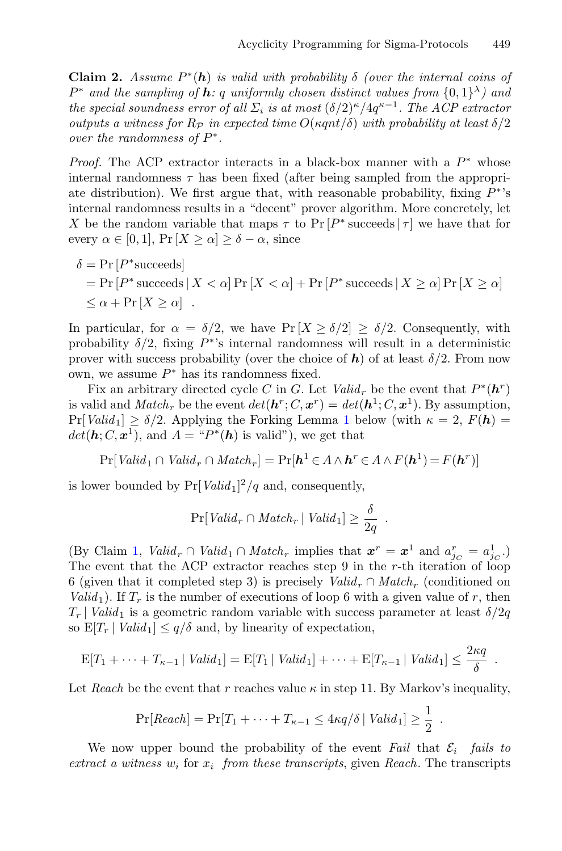**Claim 2.** *Assume*  $P^*(h)$  *is valid with probability*  $\delta$  *(over the internal coins of*  $P^*$  and the sampling of **h**: q uniformly chosen distinct values from  $\{0,1\}^{\lambda}$  and *the special soundness error of all*  $\Sigma_i$  *is at most*  $(\delta/2)^{\kappa}/4q^{\kappa-1}$ *. The ACP extractor outputs a witness for*  $R_P$  *in expected time*  $O(\kappa qnt/\delta)$  *with probability at least*  $\delta/2$ *over the randomness of* P∗*.*

*Proof.* The ACP extractor interacts in a black-box manner with a  $P^*$  whose internal randomness  $\tau$  has been fixed (after being sampled from the appropriate distribution). We first argue that, with reasonable probability, fixing  $P^*$ 's internal randomness results in a "decent" prover algorithm. More concretely, let X be the random variable that maps  $\tau$  to Pr  $[P^*$  succeeds  $|\tau|$  we have that for every  $\alpha \in [0,1]$ ,  $\Pr[X \geq \alpha] \geq \delta - \alpha$ , since

$$
\delta = \Pr[P^* \text{ succeeds}] \\
 = \Pr[P^* \text{ succeeds} | X < \alpha] \Pr[X < \alpha] + \Pr[P^* \text{ succeeds} | X \geq \alpha] \Pr[X \geq \alpha] \\
 \leq \alpha + \Pr[X \geq \alpha] \quad .
$$

In particular, for  $\alpha = \delta/2$ , we have Pr  $[X \ge \delta/2] \ge \delta/2$ . Consequently, with probability  $\delta/2$ , fixing P<sup>\*</sup>'s internal randomness will result in a deterministic prover with success probability (over the choice of  $h$ ) of at least  $\delta/2$ . From now own, we assume  $P^*$  has its randomness fixed.

Fix an arbitrary directed cycle C in G. Let  $Valid_r$  be the event that  $P^*(h^r)$ is valid and *Match<sub>r</sub>* be the event  $det(h^r; C, x^r) = det(h^1; C, x^1)$ . By assumption,  $Pr[Valid_1] \ge \delta/2$  $Pr[Valid_1] \ge \delta/2$  $Pr[Valid_1] \ge \delta/2$ . Applying the Forking Lemma 1 below (with  $\kappa = 2$ ,  $F(h) =$  $det(\mathbf{h}; C, \mathbf{x}^1)$ , and  $A = \mathbf{H}^*(\mathbf{h})$  is valid"), we get that

$$
\Pr[Valid_1 \cap Valid_r \cap Match_r] = \Pr[\mathbf{h}^1 \in A \land \mathbf{h}^r \in A \land F(\mathbf{h}^1) = F(\mathbf{h}^r)]
$$

is lower bounded by  $Pr[Valid_1]^2/q$  and, consequently,

$$
\Pr[Valid_r \cap Match_r | Valid_1] \ge \frac{\delta}{2q} .
$$

(By Claim [1,](#page-13-2) *Valid<sub>r</sub>*  $\cap$  *Valid*<sub>1</sub>  $\cap$  *Match<sub>r</sub>* implies that  $\boldsymbol{x}^r = \boldsymbol{x}^1$  and  $a_{jc}^r = a_{jc}^1$ .) The event that the ACP extractor reaches step 9 in the  $r$ -th iteration of loop 6 (given that it completed step 3) is precisely  $Valid<sub>r</sub> \cap Match<sub>r</sub>$  (conditioned on *Valid*<sub>1</sub>). If  $T_r$  is the number of executions of loop 6 with a given value of r, then  $T_r$  | *Valid*<sub>1</sub> is a geometric random variable with success parameter at least  $\delta/2q$ so  $E[T_r | Valid_1] \leq q/\delta$  and, by linearity of expectation,

$$
E[T_1 + \cdots + T_{\kappa-1} | Valid_1] = E[T_1 | Valid_1] + \cdots + E[T_{\kappa-1} | Valid_1] \leq \frac{2\kappa q}{\delta}.
$$

Let *Reach* be the event that r reaches value  $\kappa$  in step 11. By Markov's inequality,

$$
\Pr[Reach] = \Pr[T_1 + \cdots + T_{\kappa-1} \le 4\kappa q/\delta \mid Valid_1] \ge \frac{1}{2}.
$$

We now upper bound the probability of the event *Fail* that  $\mathcal{E}_i$  *fails to*  $extract\ a\ witness\ w_i\ for\ x_i\ from\ these\ transcripts, given\ Reach. The transcripts$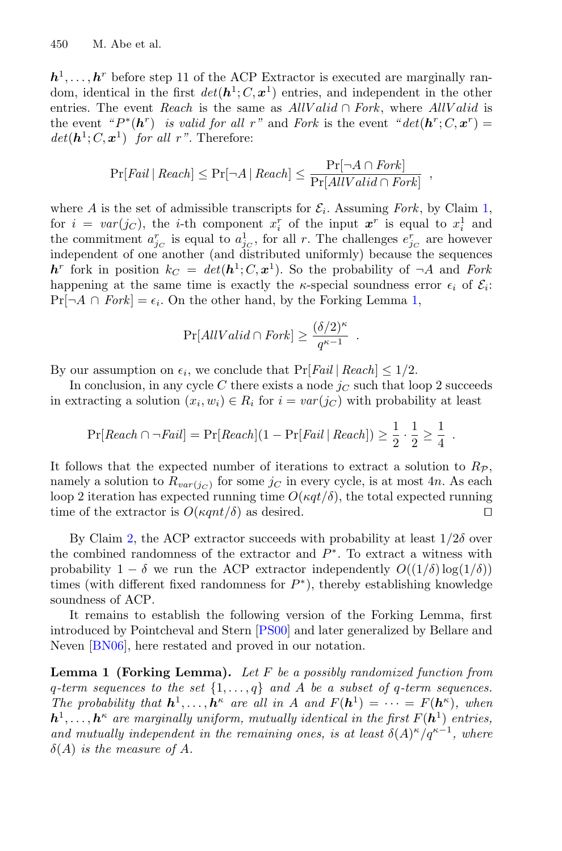$h<sup>1</sup>$ ,...,*h*<sup>r</sup> before step 11 of the ACP Extractor is executed are marginally random, identical in the first  $det(h^1; C, x^1)$  entries, and independent in the other entries. The event *Reach* is the same as  $AllValid \cap Fork$ , where  $AllValid$  is the event  $P^*(h^r)$  *is valid for all* r<sup>"</sup> and *Fork* is the event  $P^*(h^r; C, x^r) =$  $det(\mathbf{h}^1; C, \mathbf{x}^1)$  *for all r*". Therefore:

$$
Pr[Tail | Recall] \leq Pr[\neg A | Recall] \leq \frac{Pr[\neg A \cap Fork]}{Pr[AllValid \cap Fork]} ,
$$

where A is the set of admissible transcripts for  $\mathcal{E}_i$ . Assuming *Fork*, by Claim [1,](#page-13-2) for  $i = var(j_C)$ , the *i*-th component  $x_i^r$  of the input  $x^r$  is equal to  $x_i^1$  and the commitment  $a_{j_C}^r$  is equal to  $a_{j_C}^1$ , for all r. The challenges  $e_{j_C}^r$  are however independent of one another (and distributed uniformly) because the sequences  $h^r$  fork in position  $k_C = det(h^1; C, x^1)$ . So the probability of  $\neg A$  and *Fork* happening at the same time is exactly the  $\kappa$ -special soundness error  $\epsilon_i$  of  $\mathcal{E}_i$ :  $Pr[\neg A \cap \text{Fork}] = \epsilon_i$ . On the other hand, by the Forking Lemma [1,](#page-15-0)

$$
\Pr[AllValid \cap Fork] \ge \frac{(\delta/2)^{\kappa}}{q^{\kappa-1}}.
$$

By our assumption on  $\epsilon_i$ , we conclude that  $Pr[Fall | Recall] \leq 1/2$ .

In conclusion, in any cycle C there exists a node  $j<sub>C</sub>$  such that loop 2 succeeds in extracting a solution  $(x_i, w_i) \in R_i$  for  $i = var(j_C)$  with probability at least

$$
Pr[Reach \cap \neg Fall] = Pr[Reach](1 - Pr[Tail \mid Recall]) \ge \frac{1}{2} \cdot \frac{1}{2} \ge \frac{1}{4}.
$$

It follows that the expected number of iterations to extract a solution to  $R_{\mathcal{P}}$ , namely a solution to  $R_{var(j_C)}$  for some  $j_C$  in every cycle, is at most 4n. As each loop 2 iteration has expected running time  $O(\kappa q t/\delta)$ , the total expected running time of the extractor is  $O(\kappa qnt/\delta)$  as desired.

By Claim [2,](#page-13-3) the ACP extractor succeeds with probability at least  $1/2\delta$  over the combined randomness of the extractor and  $P^*$ . To extract a witness with probability  $1 - \delta$  we run the ACP extractor independently  $O((1/\delta) \log(1/\delta))$ times (with different fixed randomness for  $P^*$ ), thereby establishing knowledge soundness of ACP.

It remains to establish the following version of the Forking Lemma, first introduced by Pointcheval and Stern [\[PS00\]](#page-30-10) and later generalized by Bellare and Neven [\[BN06\]](#page-28-12), here restated and proved in our notation.

<span id="page-15-0"></span>**Lemma 1 (Forking Lemma).** *Let* F *be a possibly randomized function from* q*-term sequences to the set* {1,...,q} *and* A *be a subset of* q*-term sequences. The probability that*  $h^1, \ldots, h^k$  *are all in* A *and*  $F(h^1) = \cdots = F(h^k)$ *, when*  $h^1, \ldots, h^k$  *are marginally uniform, mutually identical in the first*  $F(h^1)$  *entries, and mutually independent in the remaining ones, is at least*  $\delta(A)^{\kappa}/q^{\kappa-1}$ *, where*  $\delta(A)$  *is the measure of A.*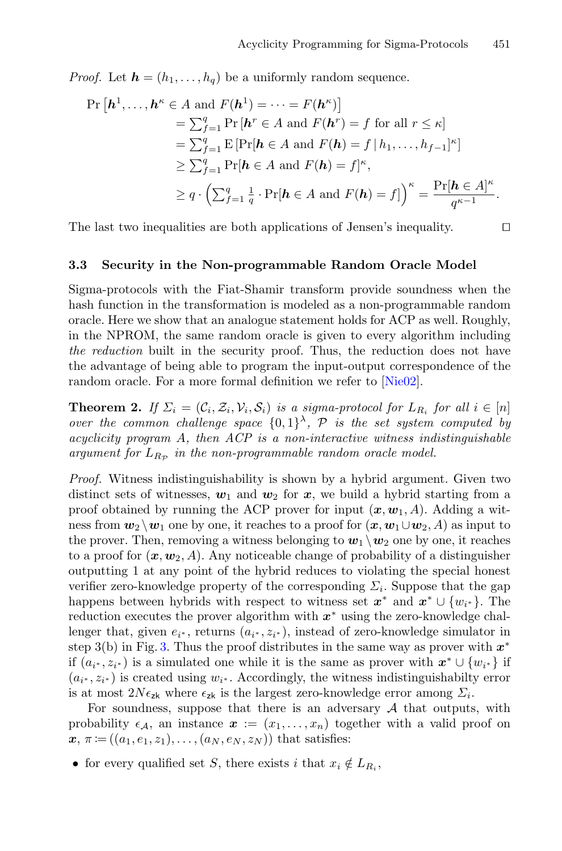*Proof.* Let  $h = (h_1, \ldots, h_q)$  be a uniformly random sequence.

$$
\Pr\left[\boldsymbol{h}^{1},\ldots,\boldsymbol{h}^{\kappa}\in A\text{ and }F(\boldsymbol{h}^{1})=\cdots=F(\boldsymbol{h}^{\kappa})\right] \n= \sum_{f=1}^{q}\Pr\left[\boldsymbol{h}^{r}\in A\text{ and }F(\boldsymbol{h}^{r})=f\text{ for all }r\leq\kappa\right] \n= \sum_{f=1}^{q}\mathrm{E}\left[\Pr[\boldsymbol{h}\in A\text{ and }F(\boldsymbol{h})=f\,|\,h_{1},\ldots,h_{f-1}]^{\kappa}\right] \n\geq \sum_{f=1}^{q}\Pr[\boldsymbol{h}\in A\text{ and }F(\boldsymbol{h})=f]^{\kappa}, \n\geq q\cdot\left(\sum_{f=1}^{q}\frac{1}{q}\cdot\Pr[\boldsymbol{h}\in A\text{ and }F(\boldsymbol{h})=f]\right)^{\kappa}=\frac{\Pr[\boldsymbol{h}\in A]^{\kappa}}{q^{\kappa-1}}.
$$

The last two inequalities are both applications of Jensen's inequality.  $\Box$ 

#### <span id="page-16-1"></span>**3.3 Security in the Non-programmable Random Oracle Model**

Sigma-protocols with the Fiat-Shamir transform provide soundness when the hash function in the transformation is modeled as a non-programmable random oracle. Here we show that an analogue statement holds for ACP as well. Roughly, in the NPROM, the same random oracle is given to every algorithm including *the reduction* built in the security proof. Thus, the reduction does not have the advantage of being able to program the input-output correspondence of the random oracle. For a more formal definition we refer to [\[Nie02\]](#page-30-3).

<span id="page-16-0"></span>**Theorem 2.** *If*  $\Sigma_i = (\mathcal{C}_i, \mathcal{Z}_i, \mathcal{V}_i, \mathcal{S}_i)$  *is a sigma-protocol for*  $L_{R_i}$  *for all*  $i \in [n]$ *over the common challenge space*  $\{0,1\}^{\lambda}$ ,  $P$  *is the set system computed by acyclicity program* A*, then ACP is a non-interactive witness indistinguishable argument for*  $L_{R_{\mathcal{P}}}$  *in the non-programmable random oracle model.* 

*Proof.* Witness indistinguishability is shown by a hybrid argument. Given two distinct sets of witnesses,  $w_1$  and  $w_2$  for  $x$ , we build a hybrid starting from a proof obtained by running the ACP prover for input  $(x, w_1, A)$ . Adding a witness from  $w_2 \, \backslash \, w_1$  one by one, it reaches to a proof for  $(x, w_1 \cup w_2, A)$  as input to the prover. Then, removing a witness belonging to  $w_1 \backslash w_2$  one by one, it reaches to a proof for  $(x, w_2, A)$ . Any noticeable change of probability of a distinguisher outputting 1 at any point of the hybrid reduces to violating the special honest verifier zero-knowledge property of the corresponding  $\Sigma_i$ . Suppose that the gap happens between hybrids with respect to witness set  $x^*$  and  $x^* \cup \{w_{i^*}\}\$ . The reduction executes the prover algorithm with *x*<sup>∗</sup> using the zero-knowledge challenger that, given  $e_{i^*}$ , returns  $(a_{i^*}, z_{i^*})$ , instead of zero-knowledge simulator in step 3(b) in Fig. [3.](#page-11-1) Thus the proof distributes in the same way as prover with *x*<sup>∗</sup> if  $(a_{i^*}, z_{i^*})$  is a simulated one while it is the same as prover with  $x^* \cup \{w_{i^*}\}\$  if  $(a_{i^*}, z_{i^*})$  is created using  $w_{i^*}$ . Accordingly, the witness indistinguishabilty error is at most  $2N\epsilon_{\mathbf{z}\mathbf{k}}$  where  $\epsilon_{\mathbf{z}\mathbf{k}}$  is the largest zero-knowledge error among  $\Sigma_i$ .

For soundness, suppose that there is an adversary  $A$  that outputs, with probability  $\epsilon_{\mathcal{A}}$ , an instance  $\boldsymbol{x} := (x_1, \ldots, x_n)$  together with a valid proof on  $x, \pi := ((a_1, e_1, z_1), \ldots, (a_N, e_N, z_N))$  that satisfies:

• for every qualified set S, there exists i that  $x_i \notin L_{R_i}$ ,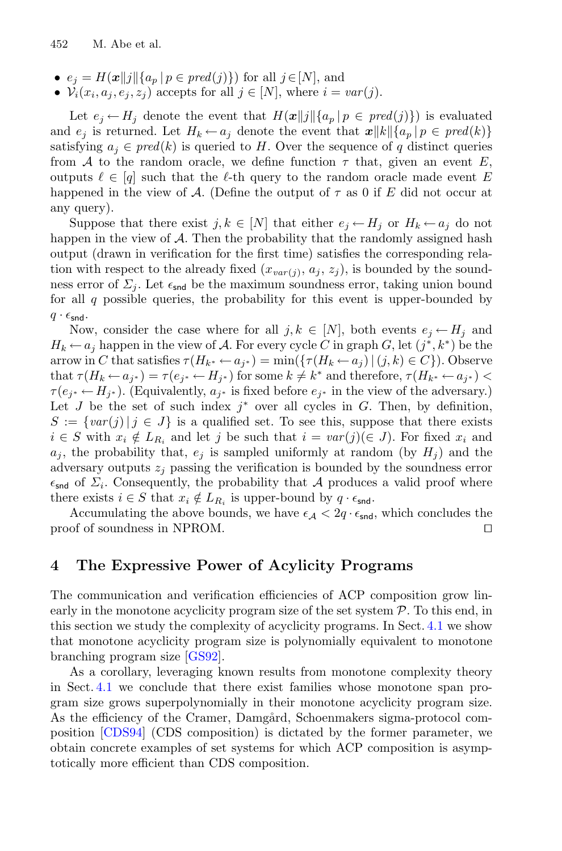- $e_j = H(\boldsymbol{x} || j || \{ a_p \mid p \in pred(j) \})$  for all  $j \in [N]$ , and
- $V_i(x_i, a_j, e_j, z_j)$  accepts for all  $j \in [N]$ , where  $i = var(j)$ .

Let  $e_j \leftarrow H_j$  denote the event that  $H(x||j||\{a_p | p \in pred(j)\})$  is evaluated and  $e_j$  is returned. Let  $H_k \leftarrow a_j$  denote the event that  $\boldsymbol{x} || k || \{a_p | p \in \text{pred}(k)\}\$ satisfying  $a_i \in pred(k)$  is queried to H. Over the sequence of q distinct queries from A to the random oracle, we define function  $\tau$  that, given an event E, outputs  $\ell \in [q]$  such that the  $\ell$ -th query to the random oracle made event E happened in the view of A. (Define the output of  $\tau$  as 0 if E did not occur at any query).

Suppose that there exist  $j, k \in [N]$  that either  $e_i \leftarrow H_i$  or  $H_k \leftarrow a_i$  do not happen in the view of  $A$ . Then the probability that the randomly assigned hash output (drawn in verification for the first time) satisfies the corresponding relation with respect to the already fixed  $(x_{var(j)}, a_j, z_j)$ , is bounded by the soundness error of  $\Sigma_i$ . Let  $\epsilon_{\text{snd}}$  be the maximum soundness error, taking union bound for all  $q$  possible queries, the probability for this event is upper-bounded by  $q \cdot \epsilon_{\text{snd}}$ .

Now, consider the case where for all  $j, k \in [N]$ , both events  $e_i \leftarrow H_i$  and  $H_k \leftarrow a_j$  happen in the view of A. For every cycle C in graph G, let  $(j^*, k^*)$  be the arrow in C that satisfies  $\tau(H_{k^*} \leftarrow a_{i^*}) = \min(\{\tau(H_k \leftarrow a_i) | (j,k) \in C\})$ . Observe that  $\tau(H_k \leftarrow a_{j^*}) = \tau(e_{j^*} \leftarrow H_{j^*})$  for some  $k \neq k^*$  and therefore,  $\tau(H_{k^*} \leftarrow a_{j^*})$  $\tau(e_{j^*} \leftarrow H_{j^*})$ . (Equivalently,  $a_{j^*}$  is fixed before  $e_{j^*}$  in the view of the adversary.) Let J be the set of such index  $j^*$  over all cycles in G. Then, by definition,  $S := \{ \text{var}(j) | j \in J \}$  is a qualified set. To see this, suppose that there exists  $i \in S$  with  $x_i \notin L_{R_i}$  and let j be such that  $i = var(j)(\in J)$ . For fixed  $x_i$  and  $a_j$ , the probability that,  $e_j$  is sampled uniformly at random (by  $H_j$ ) and the adversary outputs  $z_i$  passing the verification is bounded by the soundness error  $\epsilon_{\text{snd}}$  of  $\Sigma_i$ . Consequently, the probability that A produces a valid proof where there exists  $i \in S$  that  $x_i \notin L_{R_i}$  is upper-bound by  $q \cdot \epsilon_{\text{snd}}$ .

Accumulating the above bounds, we have  $\epsilon_{\mathcal{A}} < 2q \cdot \epsilon_{\text{snd}}$ , which concludes the of of soundness in NPROM proof of soundness in NPROM.

## <span id="page-17-0"></span>**4 The Expressive Power of Acylicity Programs**

The communication and verification efficiencies of ACP composition grow linearly in the monotone acyclicity program size of the set system  $P$ . To this end, in this section we study the complexity of acyclicity programs. In Sect. [4.1](#page-18-0) we show that monotone acyclicity program size is polynomially equivalent to monotone branching program size [\[GS92](#page-29-10)].

As a corollary, leveraging known results from monotone complexity theory in Sect. [4.1](#page-18-0) we conclude that there exist families whose monotone span program size grows superpolynomially in their monotone acyclicity program size. As the efficiency of the Cramer, Damgård, Schoenmakers sigma-protocol composition [\[CDS94](#page-28-3)] (CDS composition) is dictated by the former parameter, we obtain concrete examples of set systems for which ACP composition is asymptotically more efficient than CDS composition.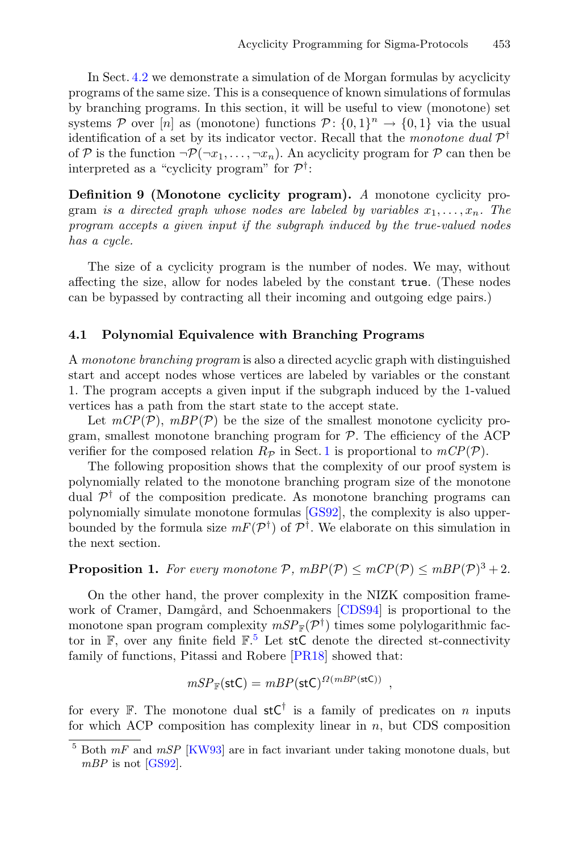In Sect. [4.2](#page-20-0) we demonstrate a simulation of de Morgan formulas by acyclicity programs of the same size. This is a consequence of known simulations of formulas by branching programs. In this section, it will be useful to view (monotone) set systems P over [n] as (monotone) functions  $P: \{0,1\}^n \to \{0,1\}$  via the usual identification of a set by its indicator vector. Recall that the *monotone dual* P† of P is the function  $\neg \mathcal{P}(\neg x_1,\ldots,\neg x_n)$ . An acyclicity program for P can then be interpreted as a "cyclicity program" for  $\mathcal{P}^{\dagger}$ :

**Definition 9 (Monotone cyclicity program).** *A* monotone cyclicity program *is a directed graph whose nodes are labeled by variables*  $x_1, \ldots, x_n$ . The *program accepts a given input if the subgraph induced by the true-valued nodes has a cycle.*

The size of a cyclicity program is the number of nodes. We may, without affecting the size, allow for nodes labeled by the constant true. (These nodes can be bypassed by contracting all their incoming and outgoing edge pairs.)

#### <span id="page-18-0"></span>**4.1 Polynomial Equivalence with Branching Programs**

A *monotone branching program* is also a directed acyclic graph with distinguished start and accept nodes whose vertices are labeled by variables or the constant 1. The program accepts a given input if the subgraph induced by the 1-valued vertices has a path from the start state to the accept state.

Let  $mCP(\mathcal{P})$ ,  $mBP(\mathcal{P})$  be the size of the smallest monotone cyclicity program, smallest monotone branching program for  $P$ . The efficiency of the ACP verifier for the composed relation  $R_{\mathcal{P}}$  in Sect. [1](#page-11-0) is proportional to  $mCP(\mathcal{P})$ .

The following proposition shows that the complexity of our proof system is polynomially related to the monotone branching program size of the monotone dual  $\mathcal{P}^{\dagger}$  of the composition predicate. As monotone branching programs can polynomially simulate monotone formulas [\[GS92\]](#page-29-10), the complexity is also upperbounded by the formula size  $mF(\mathcal{P}^{\dagger})$  of  $\mathcal{P}^{\dagger}$ . We elaborate on this simulation in the next section.

## <span id="page-18-2"></span>**Proposition 1.** For every monotone  $P$ ,  $mBP(P) \leq mCP(P) \leq mBP(P)^3 + 2$ .

On the other hand, the prover complexity in the NIZK composition frame-work of Cramer, Damgård, and Schoenmakers [\[CDS94](#page-28-3)] is proportional to the monotone span program complexity  $mSP_{\mathbb{F}}(\mathcal{P}^{\dagger})$  times some polylogarithmic factor in  $\mathbb{F}$ , over any finite field  $\mathbb{F}$ .<sup>[5](#page-18-1)</sup> Let stC denote the directed st-connectivity family of functions, Pitassi and Robere [\[PR18\]](#page-30-11) showed that:

$$
mSP_{\mathbb{F}}(\mathsf{stC}) = mBP(\mathsf{stC})^{\Omega(mBP(\mathsf{stC}))},
$$

for every F. The monotone dual  $stC^{\dagger}$  is a family of predicates on n inputs for which ACP composition has complexity linear in  $n$ , but CDS composition

<span id="page-18-1"></span><sup>5</sup> Both *mF* and *mSP* [\[KW93](#page-29-11)] are in fact invariant under taking monotone duals, but *mBP* is not [\[GS92\]](#page-29-10).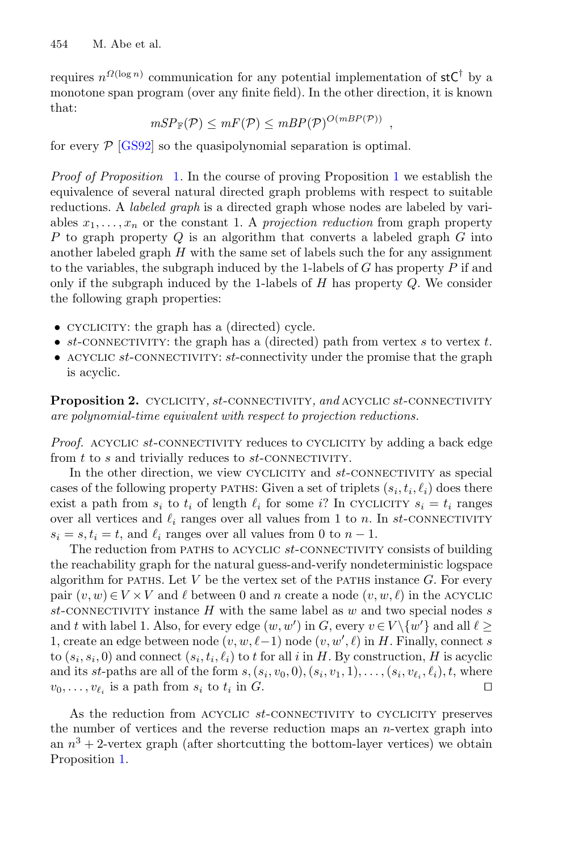requires  $n^{\Omega(\log n)}$  communication for any potential implementation of stC<sup>†</sup> by a monotone span program (over any finite field). In the other direction, it is known that:

$$
mSP_{\mathbb{F}}(\mathcal{P}) \leq mF(\mathcal{P}) \leq mBP(\mathcal{P})^{O(mBP(\mathcal{P}))},
$$

for every  $P$  [\[GS92](#page-29-10)] so the quasipolynomial separation is optimal.

*Proof of Proposition* [1](#page-18-2)*.* In the course of proving Proposition [1](#page-18-2) we establish the equivalence of several natural directed graph problems with respect to suitable reductions. A *labeled graph* is a directed graph whose nodes are labeled by variables  $x_1, \ldots, x_n$  or the constant 1. A *projection reduction* from graph property P to graph property  $Q$  is an algorithm that converts a labeled graph  $G$  into another labeled graph  $H$  with the same set of labels such the for any assignment to the variables, the subgraph induced by the 1-labels of  $G$  has property  $P$  if and only if the subgraph induced by the 1-labels of  $H$  has property  $Q$ . We consider the following graph properties:

- CYCLICITY: the graph has a (directed) cycle.
- $st$ -CONNECTIVITY: the graph has a (directed) path from vertex  $s$  to vertex  $t$ .
- ACYCLIC  $st$ -CONNECTIVITY:  $st$ -connectivity under the promise that the graph is acyclic.

<span id="page-19-0"></span>**Proposition 2.** CYCLICITY, st-CONNECTIVITY, and ACYCLIC st-CONNECTIVITY *are polynomial-time equivalent with respect to projection reductions.*

*Proof.* ACYCLIC st-CONNECTIVITY reduces to CYCLICITY by adding a back edge from  $t$  to  $s$  and trivially reduces to  $st$ -CONNECTIVITY.

In the other direction, we view CYCLICITY and  $st$ -CONNECTIVITY as special cases of the following property parties. Given a set of triplets  $(s_i, t_i, \ell_i)$  does there exist a path from  $s_i$  to  $t_i$  of length  $\ell_i$  for some i? In CYCLICITY  $s_i = t_i$  ranges over all vertices and  $\ell_i$  ranges over all values from 1 to n. In st-CONNECTIVITY  $s_i = s, t_i = t$ , and  $\ell_i$  ranges over all values from 0 to  $n - 1$ .

The reduction from PATHS to ACYCLIC st-CONNECTIVITY consists of building the reachability graph for the natural guess-and-verify nondeterministic logspace algorithm for paths. Let V be the vertex set of the paths instance  $G$ . For every pair  $(v, w) \in V \times V$  and  $\ell$  between 0 and n create a node  $(v, w, \ell)$  in the ACYCLIC st-CONNECTIVITY instance  $H$  with the same label as  $w$  and two special nodes s and t with label 1. Also, for every edge  $(w, w')$  in G, every  $v \in V \setminus \{w'\}$  and all  $\ell \geq$ 1, create an edge between node  $(v, w, \ell-1)$  node  $(v, w', \ell)$  in H. Finally, connect s to  $(s_i, s_i, 0)$  and connect  $(s_i, t_i, \ell_i)$  to t for all i in H. By construction, H is acyclic and its st-paths are all of the form  $s, (s_i, v_0, 0), (s_i, v_1, 1), \ldots, (s_i, v_\ell, \ell_i), t$ , where  $v_0, \ldots, v_{\ell_i}$  is a path from  $s_i$  to  $t_i$  in  $G$ .

As the reduction from ACYCLIC st-CONNECTIVITY to CYCLICITY preserves the number of vertices and the reverse reduction maps an  $n$ -vertex graph into an  $n^3 + 2$ -vertex graph (after shortcutting the bottom-layer vertices) we obtain Proposition [1.](#page-18-2)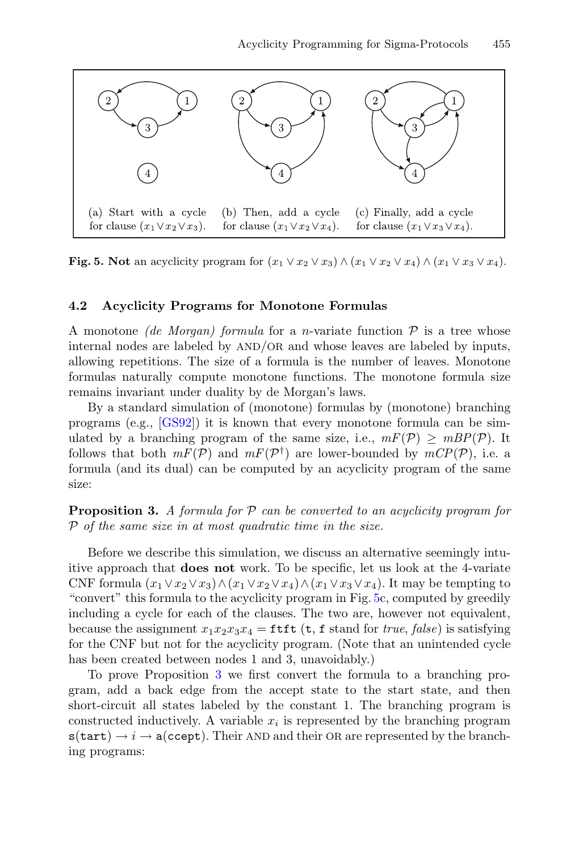

<span id="page-20-1"></span>**Fig. 5. Not** an acyclicity program for  $(x_1 \vee x_2 \vee x_3) \wedge (x_1 \vee x_2 \vee x_4) \wedge (x_1 \vee x_3 \vee x_4)$ .

#### <span id="page-20-0"></span>**4.2 Acyclicity Programs for Monotone Formulas**

A monotone *(de Morgan) formula* for a *n*-variate function  $P$  is a tree whose internal nodes are labeled by AND/OR and whose leaves are labeled by inputs, allowing repetitions. The size of a formula is the number of leaves. Monotone formulas naturally compute monotone functions. The monotone formula size remains invariant under duality by de Morgan's laws.

By a standard simulation of (monotone) formulas by (monotone) branching programs (e.g., [\[GS92\]](#page-29-10)) it is known that every monotone formula can be simulated by a branching program of the same size, i.e.,  $mF(\mathcal{P}) > mBP(\mathcal{P})$ . It follows that both  $mF(\mathcal{P})$  and  $mF(\mathcal{P}^{\dagger})$  are lower-bounded by  $mCP(\mathcal{P})$ , i.e. a formula (and its dual) can be computed by an acyclicity program of the same size:

<span id="page-20-2"></span>**Proposition 3.** *A formula for* P *can be converted to an acyclicity program for* P *of the same size in at most quadratic time in the size.*

Before we describe this simulation, we discuss an alternative seemingly intuitive approach that **does not** work. To be specific, let us look at the 4-variate CNF formula  $(x_1 \vee x_2 \vee x_3) \wedge (x_1 \vee x_2 \vee x_4) \wedge (x_1 \vee x_3 \vee x_4)$ . It may be tempting to "convert" this formula to the acyclicity program in Fig. [5c](#page-20-1), computed by greedily including a cycle for each of the clauses. The two are, however not equivalent, because the assignment  $x_1x_2x_3x_4 = \text{ttft}$  (t, f stand for *true*, *false*) is satisfying for the CNF but not for the acyclicity program. (Note that an unintended cycle has been created between nodes 1 and 3, unavoidably.)

To prove Proposition [3](#page-20-2) we first convert the formula to a branching program, add a back edge from the accept state to the start state, and then short-circuit all states labeled by the constant 1. The branching program is constructed inductively. A variable  $x_i$  is represented by the branching program  $s(tart) \rightarrow i \rightarrow a(ccept)$ . Their AND and their OR are represented by the branching programs: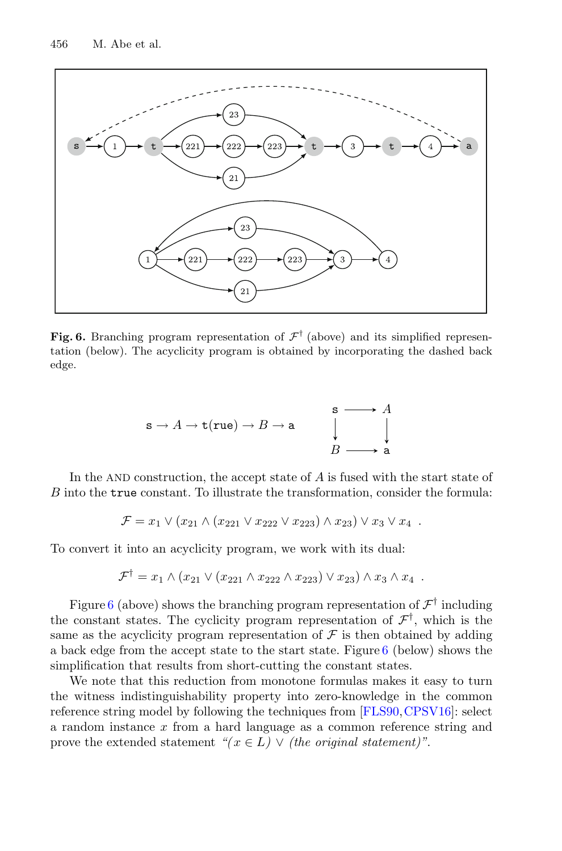

<span id="page-21-0"></span>**Fig. 6.** Branching program representation of  $\mathcal{F}^{\dagger}$  (above) and its simplified representation (below). The acyclicity program is obtained by incorporating the dashed back edge.

$$
\mathbf{s} \to A \to \mathbf{t}(\mathbf{rue}) \to B \to \mathbf{a} \qquad \begin{array}{c} \mathbf{s} \longrightarrow A \\ | \\ | \\ B \longrightarrow \mathbf{a} \end{array}
$$

In the AND construction, the accept state of A is fused with the start state of B into the true constant. To illustrate the transformation, consider the formula:

$$
\mathcal{F} = x_1 \vee (x_{21} \wedge (x_{221} \vee x_{222} \vee x_{223}) \wedge x_{23}) \vee x_3 \vee x_4.
$$

To convert it into an acyclicity program, we work with its dual:

$$
\mathcal{F}^{\dagger} = x_1 \wedge (x_{21} \vee (x_{221} \wedge x_{222} \wedge x_{223}) \vee x_{23}) \wedge x_3 \wedge x_4.
$$

Figure [6](#page-21-0) (above) shows the branching program representation of  $\mathcal{F}^{\dagger}$  including the constant states. The cyclicity program representation of  $\mathcal{F}^{\dagger}$ , which is the same as the acyclicity program representation of  $\mathcal F$  is then obtained by adding a back edge from the accept state to the start state. Figure [6](#page-21-0) (below) shows the simplification that results from short-cutting the constant states.

We note that this reduction from monotone formulas makes it easy to turn the witness indistinguishability property into zero-knowledge in the common reference string model by following the techniques from [\[FLS90](#page-29-12),[CPSV16\]](#page-28-6): select a random instance x from a hard language as a common reference string and prove the extended statement  $\mathscr{C}(x \in L) \vee$  *(the original statement)*".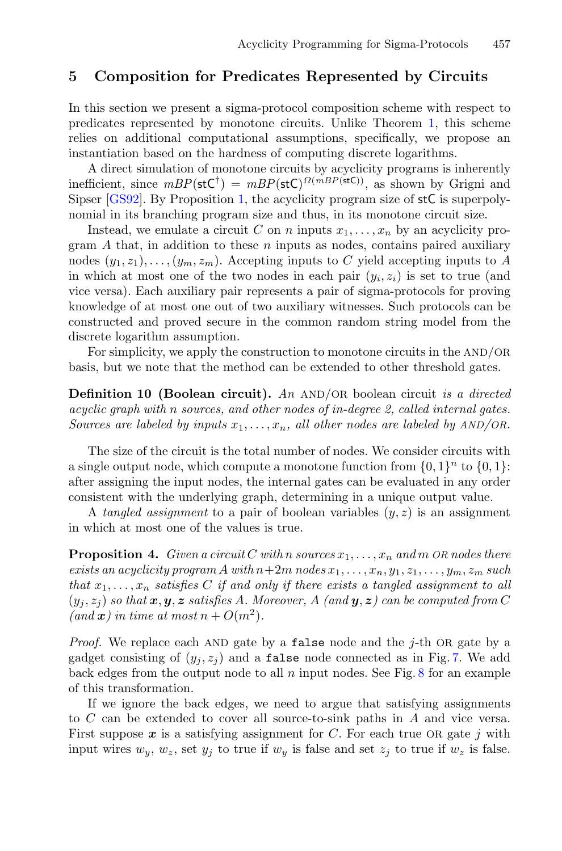## <span id="page-22-0"></span>**5 Composition for Predicates Represented by Circuits**

In this section we present a sigma-protocol composition scheme with respect to predicates represented by monotone circuits. Unlike Theorem [1,](#page-11-0) this scheme relies on additional computational assumptions, specifically, we propose an instantiation based on the hardness of computing discrete logarithms.

A direct simulation of monotone circuits by acyclicity programs is inherently inefficient, since  $mBP(\mathsf{stC}^{\dagger}) = mBP(\mathsf{stC})^{\Omega(mBP(\mathsf{stC}))}$ , as shown by Grigni and Sipser [\[GS92\]](#page-29-10). By Proposition [1,](#page-18-2) the acyclicity program size of stC is superpolynomial in its branching program size and thus, in its monotone circuit size.

Instead, we emulate a circuit C on n inputs  $x_1, \ldots, x_n$  by an acyclicity program  $A$  that, in addition to these  $n$  inputs as nodes, contains paired auxiliary nodes  $(y_1, z_1), \ldots, (y_m, z_m)$ . Accepting inputs to C yield accepting inputs to A in which at most one of the two nodes in each pair  $(y_i, z_i)$  is set to true (and vice versa). Each auxiliary pair represents a pair of sigma-protocols for proving knowledge of at most one out of two auxiliary witnesses. Such protocols can be constructed and proved secure in the common random string model from the discrete logarithm assumption.

For simplicity, we apply the construction to monotone circuits in the AND/OR basis, but we note that the method can be extended to other threshold gates.

**Definition 10 (Boolean circuit).** *An* AND/OR boolean circuit *is a directed acyclic graph with* n *sources, and other nodes of in-degree 2, called internal gates. Sources are labeled by inputs*  $x_1, \ldots, x_n$ , all other nodes are labeled by  $AND/OR$ .

The size of the circuit is the total number of nodes. We consider circuits with a single output node, which compute a monotone function from  $\{0, 1\}^n$  to  $\{0, 1\}$ : after assigning the input nodes, the internal gates can be evaluated in any order consistent with the underlying graph, determining in a unique output value.

<span id="page-22-1"></span>A *tangled assignment* to a pair of boolean variables  $(y, z)$  is an assignment in which at most one of the values is true.

**Proposition 4.** *Given a circuit* C *with* n *sources*  $x_1, \ldots, x_n$  *and* m OR nodes there *exists an acyclicity program* A *with*  $n+2m$  *nodes*  $x_1, \ldots, x_n, y_1, z_1, \ldots, y_m, z_m$  *such that*  $x_1, \ldots, x_n$  *satisfies* C *if and only if there exists a tangled assignment to all*  $(y_i, z_j)$  so that  $x, y, z$  satisfies A. Moreover, A (and  $y, z$ ) can be computed from C  $(and \mathbf{x})$  in time at most  $n + O(m^2)$ .

*Proof.* We replace each AND gate by a false node and the j-th OR gate by a gadget consisting of  $(y_i, z_i)$  and a false node connected as in Fig. [7.](#page-23-0) We add back edges from the output node to all  $n$  input nodes. See Fig.  $8$  for an example of this transformation.

If we ignore the back edges, we need to argue that satisfying assignments to C can be extended to cover all source-to-sink paths in A and vice versa. First suppose  $x$  is a satisfying assignment for  $C$ . For each true OR gate j with input wires  $w_y$ ,  $w_z$ , set  $y_j$  to true if  $w_y$  is false and set  $z_j$  to true if  $w_z$  is false.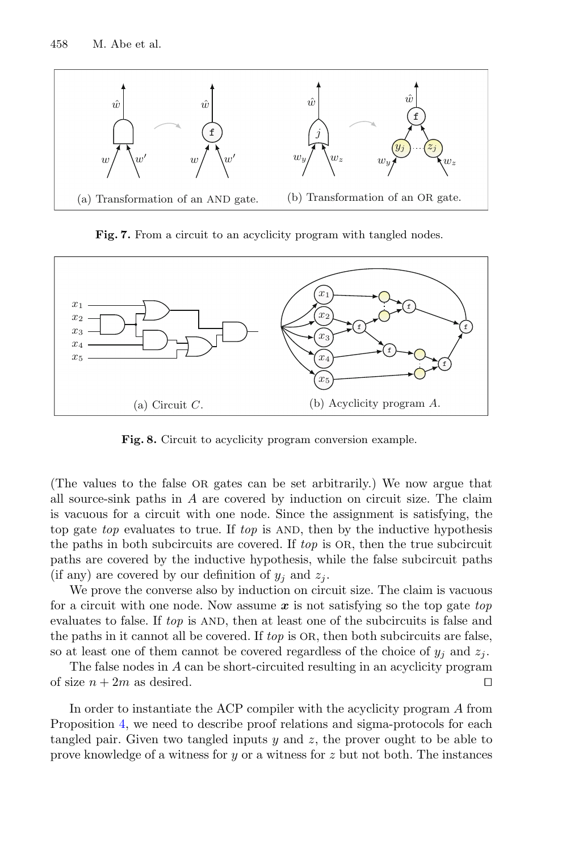

<span id="page-23-0"></span>Fig. 7. From a circuit to an acyclicity program with tangled nodes.



<span id="page-23-1"></span>**Fig. 8.** Circuit to acyclicity program conversion example.

(The values to the false OR gates can be set arbitrarily.) We now argue that all source-sink paths in  $A$  are covered by induction on circuit size. The claim is vacuous for a circuit with one node. Since the assignment is satisfying, the top gate *top* evaluates to true. If *top* is AND, then by the inductive hypothesis the paths in both subcircuits are covered. If *top* is OR, then the true subcircuit paths are covered by the inductive hypothesis, while the false subcircuit paths (if any) are covered by our definition of  $y_i$  and  $z_j$ .

We prove the converse also by induction on circuit size. The claim is vacuous for a circuit with one node. Now assume *x* is not satisfying so the top gate *top* evaluates to false. If *top* is AND, then at least one of the subcircuits is false and the paths in it cannot all be covered. If *top* is OR, then both subcircuits are false, so at least one of them cannot be covered regardless of the choice of  $y_j$  and  $z_j$ .

The false nodes in A can be short-circuited resulting in an acyclicity program of size  $n + 2m$  as desired.

In order to instantiate the ACP compiler with the acyclicity program A from Proposition [4,](#page-22-1) we need to describe proof relations and sigma-protocols for each tangled pair. Given two tangled inputs y and z, the prover ought to be able to prove knowledge of a witness for  $y$  or a witness for  $z$  but not both. The instances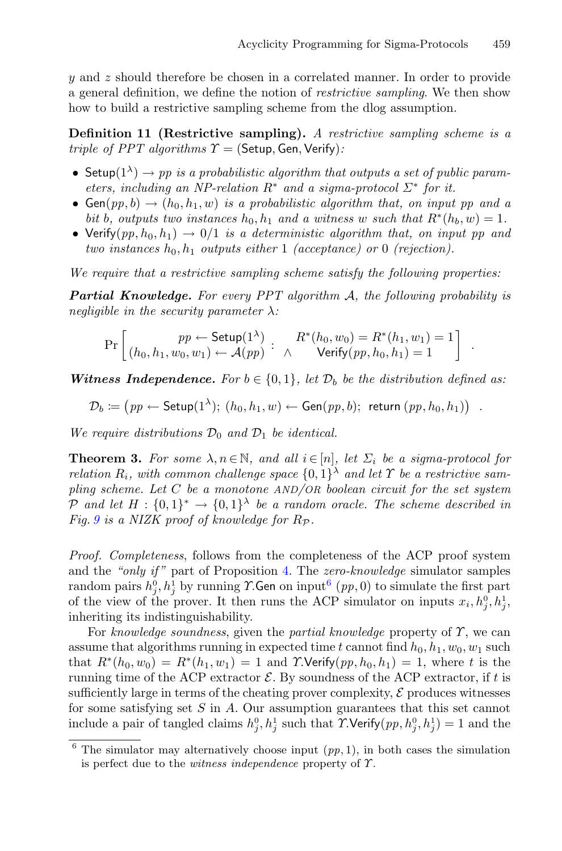y and z should therefore be chosen in a correlated manner. In order to provide a general definition, we define the notion of *restrictive sampling*. We then show how to build a restrictive sampling scheme from the dlog assumption.

**Definition 11 (Restrictive sampling).** *A restrictive sampling scheme is a triple of PPT algorithms*  $\Upsilon$  = (Setup, Gen, Verify):

- Setup( $1^{\lambda}$ )  $\rightarrow$  pp is a probabilistic algorithm that outputs a set of public param*eters, including an NP-relation*  $R^*$  *and a sigma-protocol*  $\Sigma^*$  *for it.*
- $Gen(pp, b) \rightarrow (h_0, h_1, w)$  *is a probabilistic algorithm that, on input pp and a bit* b, outputs two instances  $h_0, h_1$  and a witness w such that  $R^*(h_b, w) = 1$ .
- Verify $(pp, h_0, h_1) \rightarrow 0/1$  *is a deterministic algorithm that, on input pp and two instances*  $h_0, h_1$  *outputs either* 1 *(acceptance) or* 0 *(rejection).*

*We require that a restrictive sampling scheme satisfy the following properties:*

*Partial Knowledge. For every PPT algorithm* A*, the following probability is negligible in the security parameter* λ*:*

$$
\Pr\left[\begin{array}{c}pp \leftarrow \mathsf{Setup}(1^{\lambda})\\(h_0, h_1, w_0, w_1) \leftarrow \mathcal{A}(pp) \end{array}:\begin{array}{c}R^*(h_0, w_0) = R^*(h_1, w_1) = 1\\ \wedge \end{array}\right]\right].
$$

*Witness Independence.* For  $b \in \{0,1\}$ , let  $\mathcal{D}_b$  be the distribution defined as:

$$
\mathcal{D}_b \coloneqq \big(p p \leftarrow \mathsf{Setup}(1^{\lambda}); (h_0, h_1, w) \leftarrow \mathsf{Gen}(p p, b); \ \mathsf{return} (p p, h_0, h_1) \big) .
$$

*We require distributions*  $\mathcal{D}_0$  *and*  $\mathcal{D}_1$  *be identical.* 

<span id="page-24-1"></span>**Theorem 3.** For some  $\lambda, n \in \mathbb{N}$ , and all  $i \in [n]$ , let  $\Sigma_i$  be a sigma-protocol for *relation*  $R_i$ *, with common challenge space*  $\{0,1\}^{\lambda}$  *and let*  $\Upsilon$  *be a restrictive sampling scheme. Let* C *be a monotone AND/OR boolean circuit for the set system* P and let  $H : \{0,1\}^* \to \{0,1\}^{\lambda}$  be a random oracle. The scheme described in *Fig.* [9](#page-25-0) is a NIZK proof of knowledge for  $R_{\mathcal{P}}$ .

*Proof. Completeness*, follows from the completeness of the ACP proof system and the *"only if "* part of Proposition [4.](#page-22-1) The *zero-knowledge* simulator samples  $\mathop{\rm random}\nolimits$  pairs  $h_j^0, h_j^1$  by running  $\mathcal T.$ Gen on input $^6$  $^6$   $(p p, 0)$  to simulate the first part of the view of the prover. It then runs the ACP simulator on inputs  $x_i, h_j^0, h_j^1$ , inheriting its indistinguishability.

For *knowledge soundness*, given the *partial knowledge* property of Υ, we can assume that algorithms running in expected time t cannot find  $h_0, h_1, w_0, w_1$  such that  $R^*(h_0, w_0) = R^*(h_1, w_1) = 1$  and  $\Upsilon$ **Verify** $(pp, h_0, h_1) = 1$ , where t is the running time of the ACP extractor  $\mathcal{E}$ . By soundness of the ACP extractor, if t is sufficiently large in terms of the cheating prover complexity,  $\mathcal E$  produces witnesses for some satisfying set  $S$  in  $A$ . Our assumption guarantees that this set cannot include a pair of tangled claims  $h_j^0, h_j^1$  such that  $\Upsilon$ . Verify $(pp, h_j^0, h_j^1) = 1$  and the

<span id="page-24-0"></span> $6$  The simulator may alternatively choose input  $(pp, 1)$ , in both cases the simulation is perfect due to the *witness independence* property of Υ.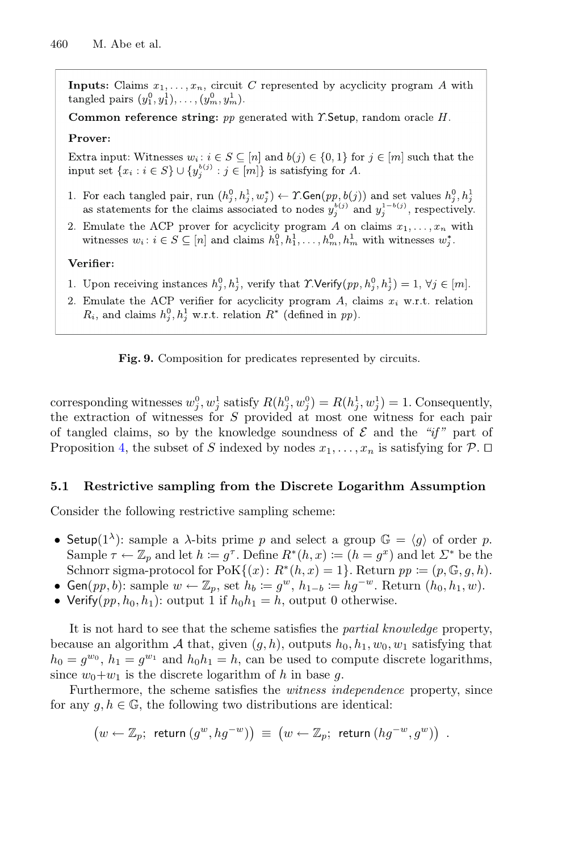**Inputs:** Claims  $x_1, \ldots, x_n$ , circuit C represented by acyclicity program A with tangled pairs  $(y_1^0, y_1^1), \ldots, (y_m^0, y_m^1)$ .

Common reference string:  $pp$  generated with  $\Upsilon$ . Setup, random oracle H.

### Prover:

Extra input: Witnesses  $w_i : i \in S \subseteq [n]$  and  $b(j) \in \{0,1\}$  for  $j \in [m]$  such that the input set  $\{x_i : i \in S\} \cup \{y_j^{b(j)} : j \in [m]\}\$ is satisfying for A.

- 1. For each tangled pair, run  $(h_i^0, h_i^1, w_i^*) \leftarrow \Upsilon$ . Gen $(pp, b(j))$  and set values  $h_i^0, h_i^1$ as statements for the claims associated to nodes  $y_j^{b(j)}$  and  $y_j^{1-b(j)}$ , respectively.
- 2. Emulate the ACP prover for acyclicity program A on claims  $x_1, \ldots, x_n$  with witnesses  $w_i: i \in S \subseteq [n]$  and claims  $h_1^0, h_1^1, \ldots, h_m^0, h_m^1$  with witnesses  $w_i^*$ .

### Verifier:

- 1. Upon receiving instances  $h_i^0, h_i^1$ , verify that  $\Upsilon$ . Verify $(pp, h_i^0, h_i^1) = 1, \forall j \in [m]$ .
- 2. Emulate the ACP verifier for acyclicity program  $A$ , claims  $x_i$  w.r.t. relation  $R_i$ , and claims  $h_i^0, h_i^1$  w.r.t. relation  $R^*$  (defined in pp).

<span id="page-25-0"></span>**Fig. 9.** Composition for predicates represented by circuits.

corresponding witnesses  $w_j^0, w_j^1$  satisfy  $R(h_j^0, w_j^0) = R(h_j^1, w_j^1) = 1$ . Consequently, the extraction of witnesses for S provided at most one witness for each pair of tangled claims, so by the knowledge soundness of  $\mathcal E$  and the "*if*" part of Proposition [4,](#page-22-1) the subset of S indexed by nodes  $x_1, \ldots, x_n$  is satisfying for  $\mathcal{P}$ .  $\Box$ 

### **5.1 Restrictive sampling from the Discrete Logarithm Assumption**

Consider the following restrictive sampling scheme:

- Setup(1<sup> $\lambda$ </sup>): sample a  $\lambda$ -bits prime p and select a group  $\mathbb{G} = \langle g \rangle$  of order p. Sample  $\tau \leftarrow \mathbb{Z}_p$  and let  $h := g^{\tau}$ . Define  $R^*(h, x) := (h = g^x)$  and let  $\Sigma^*$  be the Schnorr sigma-protocol for  $\text{PoK}\{(x): R^*(h, x)=1\}$ . Return  $pp \coloneqq (p, \mathbb{G}, g, h)$ .
- Gen(*pp*, *b*): sample  $w \leftarrow \mathbb{Z}_p$ , set  $h_b := g^w$ ,  $h_{1-b} := hg^{-w}$ . Return  $(h_0, h_1, w)$ .
- Verify $(pp, h_0, h_1)$ : output 1 if  $h_0h_1 = h$ , output 0 otherwise.

It is not hard to see that the scheme satisfies the *partial knowledge* property, because an algorithm A that, given  $(g, h)$ , outputs  $h_0, h_1, w_0, w_1$  satisfying that  $h_0 = g^{w_0}, h_1 = g^{w_1}$  and  $h_0 h_1 = h$ , can be used to compute discrete logarithms, since  $w_0+w_1$  is the discrete logarithm of h in base g.

Furthermore, the scheme satisfies the *witness independence* property, since for any  $g, h \in \mathbb{G}$ , the following two distributions are identical:

$$
\left(w\leftarrow \mathbb{Z}_p; \text{ return } (g^w,hg^{-w})\right) \; \equiv \; \left(w\leftarrow \mathbb{Z}_p; \text{ return } (hg^{-w},g^w)\right) \; .
$$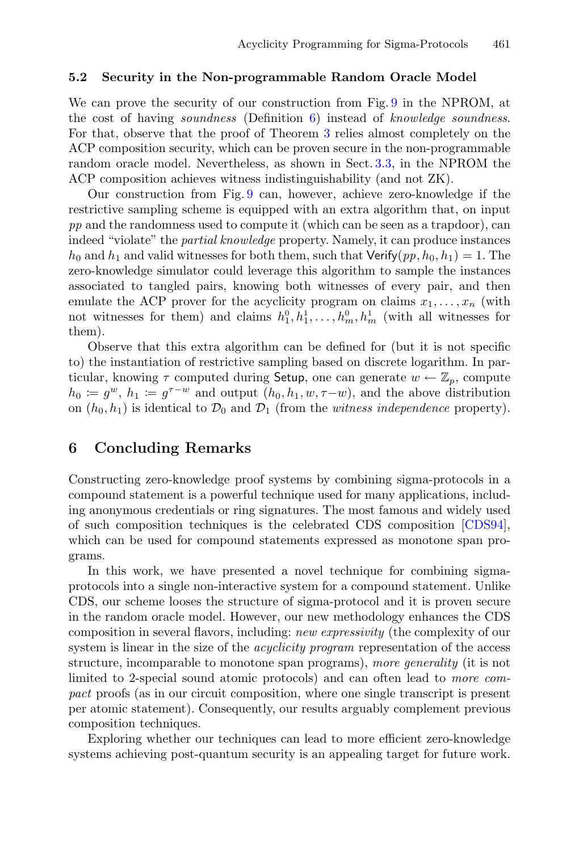#### **5.2 Security in the Non-programmable Random Oracle Model**

We can prove the security of our construction from Fig. [9](#page-25-0) in the NPROM, at the cost of having *soundness* (Definition [6\)](#page-9-0) instead of *knowledge soundness*. For that, observe that the proof of Theorem [3](#page-24-1) relies almost completely on the ACP composition security, which can be proven secure in the non-programmable random oracle model. Nevertheless, as shown in Sect. [3.3,](#page-16-1) in the NPROM the ACP composition achieves witness indistinguishability (and not ZK).

Our construction from Fig. [9](#page-25-0) can, however, achieve zero-knowledge if the restrictive sampling scheme is equipped with an extra algorithm that, on input *pp* and the randomness used to compute it (which can be seen as a trapdoor), can indeed "violate" the *partial knowledge* property. Namely, it can produce instances  $h_0$  and  $h_1$  and valid witnesses for both them, such that Verify $(pp, h_0, h_1) = 1$ . The zero-knowledge simulator could leverage this algorithm to sample the instances associated to tangled pairs, knowing both witnesses of every pair, and then emulate the ACP prover for the acyclicity program on claims  $x_1, \ldots, x_n$  (with not witnesses for them) and claims  $h_1^0, h_1^1, \ldots, h_m^0, h_m^1$  (with all witnesses for them).

Observe that this extra algorithm can be defined for (but it is not specific to) the instantiation of restrictive sampling based on discrete logarithm. In particular, knowing  $\tau$  computed during Setup, one can generate  $w \leftarrow \mathbb{Z}_p$ , compute  $h_0 \coloneqq g^w$ ,  $h_1 \coloneqq g^{\tau-w}$  and output  $(h_0, h_1, w, \tau-w)$ , and the above distribution on  $(h_0, h_1)$  is identical to  $\mathcal{D}_0$  and  $\mathcal{D}_1$  (from the *witness independence* property).

## **6 Concluding Remarks**

Constructing zero-knowledge proof systems by combining sigma-protocols in a compound statement is a powerful technique used for many applications, including anonymous credentials or ring signatures. The most famous and widely used of such composition techniques is the celebrated CDS composition [\[CDS94\]](#page-28-3), which can be used for compound statements expressed as monotone span programs.

In this work, we have presented a novel technique for combining sigmaprotocols into a single non-interactive system for a compound statement. Unlike CDS, our scheme looses the structure of sigma-protocol and it is proven secure in the random oracle model. However, our new methodology enhances the CDS composition in several flavors, including: *new expressivity* (the complexity of our system is linear in the size of the *acyclicity program* representation of the access structure, incomparable to monotone span programs), *more generality* (it is not limited to 2-special sound atomic protocols) and can often lead to *more compact* proofs (as in our circuit composition, where one single transcript is present per atomic statement). Consequently, our results arguably complement previous composition techniques.

Exploring whether our techniques can lead to more efficient zero-knowledge systems achieving post-quantum security is an appealing target for future work.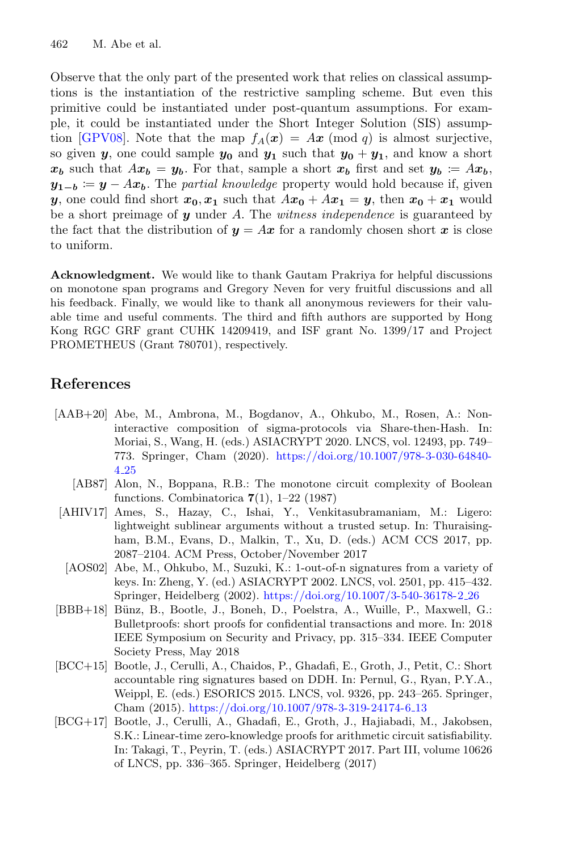Observe that the only part of the presented work that relies on classical assumptions is the instantiation of the restrictive sampling scheme. But even this primitive could be instantiated under post-quantum assumptions. For example, it could be instantiated under the Short Integer Solution (SIS) assump-tion [\[GPV08\]](#page-29-13). Note that the map  $f_A(x) = Ax \pmod{q}$  is almost surjective, so given *y*, one could sample  $y_0$  and  $y_1$  such that  $y_0 + y_1$ , and know a short  $x_b$  such that  $Ax_b = y_b$ . For that, sample a short  $x_b$  first and set  $y_b \coloneqq Ax_b$ ,  $y_{1-b}$  :=  $y - Ax_b$ . The *partial knowledge* property would hold because if, given *y*, one could find short  $x_0, x_1$  such that  $Ax_0 + Ax_1 = y$ , then  $x_0 + x_1$  would be a short preimage of *y* under A. The *witness independence* is guaranteed by the fact that the distribution of  $y = Ax$  for a randomly chosen short x is close to uniform.

**Acknowledgment.** We would like to thank Gautam Prakriya for helpful discussions on monotone span programs and Gregory Neven for very fruitful discussions and all his feedback. Finally, we would like to thank all anonymous reviewers for their valuable time and useful comments. The third and fifth authors are supported by Hong Kong RGC GRF grant CUHK 14209419, and ISF grant No. 1399/17 and Project PROMETHEUS (Grant 780701), respectively.

## **References**

- <span id="page-27-6"></span>[AAB+20] Abe, M., Ambrona, M., Bogdanov, A., Ohkubo, M., Rosen, A.: Noninteractive composition of sigma-protocols via Share-then-Hash. In: Moriai, S., Wang, H. (eds.) ASIACRYPT 2020. LNCS, vol. 12493, pp. 749– 773. Springer, Cham (2020). [https://doi.org/10.1007/978-3-030-64840-](https://doi.org/10.1007/978-3-030-64840-4_25) 4 [25](https://doi.org/10.1007/978-3-030-64840-4_25)
	- [AB87] Alon, N., Boppana, R.B.: The monotone circuit complexity of Boolean functions. Combinatorica **7**(1), 1–22 (1987)
- <span id="page-27-4"></span><span id="page-27-0"></span>[AHIV17] Ames, S., Hazay, C., Ishai, Y., Venkitasubramaniam, M.: Ligero: lightweight sublinear arguments without a trusted setup. In: Thuraisingham, B.M., Evans, D., Malkin, T., Xu, D. (eds.) ACM CCS 2017, pp. 2087–2104. ACM Press, October/November 2017
	- [AOS02] Abe, M., Ohkubo, M., Suzuki, K.: 1-out-of-n signatures from a variety of keys. In: Zheng, Y. (ed.) ASIACRYPT 2002. LNCS, vol. 2501, pp. 415–432. Springer, Heidelberg (2002). [https://doi.org/10.1007/3-540-36178-2](https://doi.org/10.1007/3-540-36178-2_26) 26
- <span id="page-27-3"></span><span id="page-27-2"></span>[BBB+18] Bünz, B., Bootle, J., Boneh, D., Poelstra, A., Wuille, P., Maxwell, G.: Bulletproofs: short proofs for confidential transactions and more. In: 2018 IEEE Symposium on Security and Privacy, pp. 315–334. IEEE Computer Society Press, May 2018
- <span id="page-27-5"></span>[BCC+15] Bootle, J., Cerulli, A., Chaidos, P., Ghadafi, E., Groth, J., Petit, C.: Short accountable ring signatures based on DDH. In: Pernul, G., Ryan, P.Y.A., Weippl, E. (eds.) ESORICS 2015. LNCS, vol. 9326, pp. 243–265. Springer, Cham (2015). [https://doi.org/10.1007/978-3-319-24174-6](https://doi.org/10.1007/978-3-319-24174-6_13) 13
- <span id="page-27-1"></span>[BCG+17] Bootle, J., Cerulli, A., Ghadafi, E., Groth, J., Hajiabadi, M., Jakobsen, S.K.: Linear-time zero-knowledge proofs for arithmetic circuit satisfiability. In: Takagi, T., Peyrin, T. (eds.) ASIACRYPT 2017. Part III, volume 10626 of LNCS, pp. 336–365. Springer, Heidelberg (2017)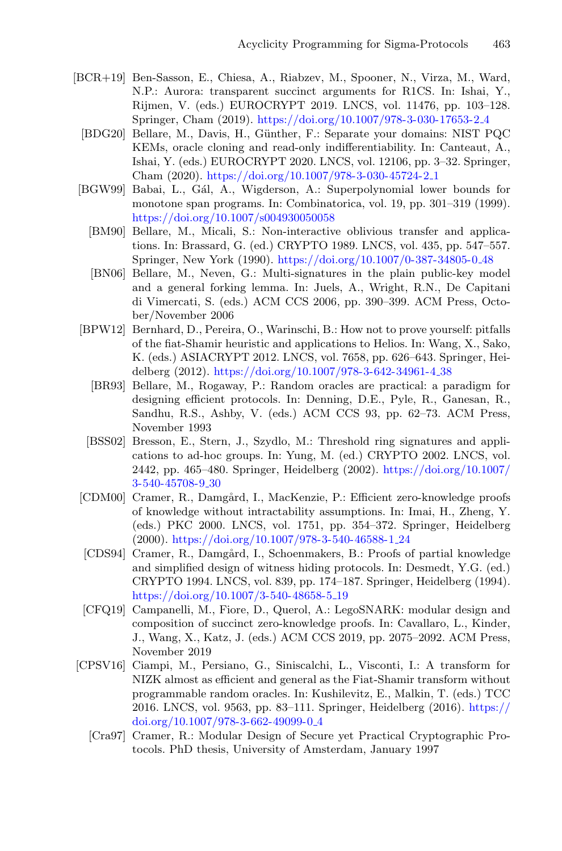- <span id="page-28-10"></span><span id="page-28-0"></span>[BCR+19] Ben-Sasson, E., Chiesa, A., Riabzev, M., Spooner, N., Virza, M., Ward, N.P.: Aurora: transparent succinct arguments for R1CS. In: Ishai, Y., Rijmen, V. (eds.) EUROCRYPT 2019. LNCS, vol. 11476, pp. 103–128. Springer, Cham (2019). [https://doi.org/10.1007/978-3-030-17653-2](https://doi.org/10.1007/978-3-030-17653-2_4) 4
	- [BDG20] Bellare, M., Davis, H., Günther, F.: Separate your domains: NIST PQC KEMs, oracle cloning and read-only indifferentiability. In: Canteaut, A., Ishai, Y. (eds.) EUROCRYPT 2020. LNCS, vol. 12106, pp. 3–32. Springer, Cham (2020). [https://doi.org/10.1007/978-3-030-45724-2](https://doi.org/10.1007/978-3-030-45724-2_1) 1
- <span id="page-28-8"></span><span id="page-28-7"></span>[BGW99] Babai, L., Gál, A., Wigderson, A.: Superpolynomial lower bounds for monotone span programs. In: Combinatorica, vol. 19, pp. 301–319 (1999). <https://doi.org/10.1007/s004930050058>
	- [BM90] Bellare, M., Micali, S.: Non-interactive oblivious transfer and applications. In: Brassard, G. (ed.) CRYPTO 1989. LNCS, vol. 435, pp. 547–557. Springer, New York (1990). [https://doi.org/10.1007/0-387-34805-0](https://doi.org/10.1007/0-387-34805-0_48) 48
	- [BN06] Bellare, M., Neven, G.: Multi-signatures in the plain public-key model and a general forking lemma. In: Juels, A., Wright, R.N., De Capitani di Vimercati, S. (eds.) ACM CCS 2006, pp. 390–399. ACM Press, October/November 2006
- <span id="page-28-12"></span><span id="page-28-9"></span><span id="page-28-5"></span>[BPW12] Bernhard, D., Pereira, O., Warinschi, B.: How not to prove yourself: pitfalls of the fiat-Shamir heuristic and applications to Helios. In: Wang, X., Sako, K. (eds.) ASIACRYPT 2012. LNCS, vol. 7658, pp. 626–643. Springer, Heidelberg (2012). [https://doi.org/10.1007/978-3-642-34961-4](https://doi.org/10.1007/978-3-642-34961-4_38) 38
	- [BR93] Bellare, M., Rogaway, P.: Random oracles are practical: a paradigm for designing efficient protocols. In: Denning, D.E., Pyle, R., Ganesan, R., Sandhu, R.S., Ashby, V. (eds.) ACM CCS 93, pp. 62–73. ACM Press, November 1993
- <span id="page-28-11"></span>[BSS02] Bresson, E., Stern, J., Szydlo, M.: Threshold ring signatures and applications to ad-hoc groups. In: Yung, M. (ed.) CRYPTO 2002. LNCS, vol. 2442, pp. 465–480. Springer, Heidelberg (2002). [https://doi.org/10.1007/](https://doi.org/10.1007/3-540-45708-9_30) [3-540-45708-9](https://doi.org/10.1007/3-540-45708-9_30) 30
- <span id="page-28-4"></span>[CDM00] Cramer, R., Damgård, I., MacKenzie, P.: Efficient zero-knowledge proofs of knowledge without intractability assumptions. In: Imai, H., Zheng, Y. (eds.) PKC 2000. LNCS, vol. 1751, pp. 354–372. Springer, Heidelberg (2000). [https://doi.org/10.1007/978-3-540-46588-1](https://doi.org/10.1007/978-3-540-46588-1_24) 24
- <span id="page-28-3"></span>[CDS94] Cramer, R., Damgård, I., Schoenmakers, B.: Proofs of partial knowledge and simplified design of witness hiding protocols. In: Desmedt, Y.G. (ed.) CRYPTO 1994. LNCS, vol. 839, pp. 174–187. Springer, Heidelberg (1994). [https://doi.org/10.1007/3-540-48658-5](https://doi.org/10.1007/3-540-48658-5_19) 19
- <span id="page-28-1"></span>[CFQ19] Campanelli, M., Fiore, D., Querol, A.: LegoSNARK: modular design and composition of succinct zero-knowledge proofs. In: Cavallaro, L., Kinder, J., Wang, X., Katz, J. (eds.) ACM CCS 2019, pp. 2075–2092. ACM Press, November 2019
- <span id="page-28-6"></span><span id="page-28-2"></span>[CPSV16] Ciampi, M., Persiano, G., Siniscalchi, L., Visconti, I.: A transform for NIZK almost as efficient and general as the Fiat-Shamir transform without programmable random oracles. In: Kushilevitz, E., Malkin, T. (eds.) TCC 2016. LNCS, vol. 9563, pp. 83–111. Springer, Heidelberg (2016). [https://](https://doi.org/10.1007/978-3-662-49099-0_4) [doi.org/10.1007/978-3-662-49099-0](https://doi.org/10.1007/978-3-662-49099-0_4) 4
	- [Cra97] Cramer, R.: Modular Design of Secure yet Practical Cryptographic Protocols. PhD thesis, University of Amsterdam, January 1997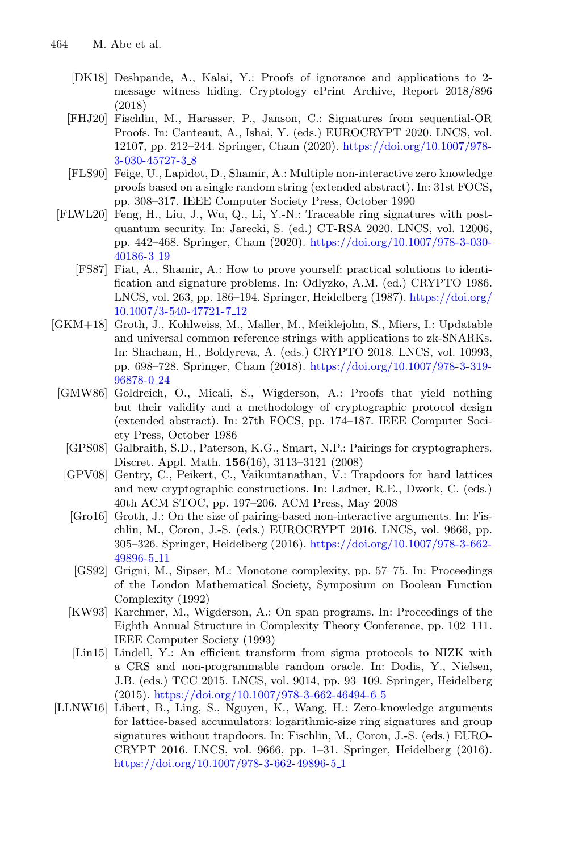- <span id="page-29-7"></span>[DK18] Deshpande, A., Kalai, Y.: Proofs of ignorance and applications to 2 message witness hiding. Cryptology ePrint Archive, Report 2018/896 (2018)
- <span id="page-29-4"></span>[FHJ20] Fischlin, M., Harasser, P., Janson, C.: Signatures from sequential-OR Proofs. In: Canteaut, A., Ishai, Y. (eds.) EUROCRYPT 2020. LNCS, vol. 12107, pp. 212–244. Springer, Cham (2020). [https://doi.org/10.1007/978-](https://doi.org/10.1007/978-3-030-45727-3_8) [3-030-45727-3](https://doi.org/10.1007/978-3-030-45727-3_8) 8
- <span id="page-29-12"></span>[FLS90] Feige, U., Lapidot, D., Shamir, A.: Multiple non-interactive zero knowledge proofs based on a single random string (extended abstract). In: 31st FOCS, pp. 308–317. IEEE Computer Society Press, October 1990
- <span id="page-29-9"></span><span id="page-29-3"></span>[FLWL20] Feng, H., Liu, J., Wu, Q., Li, Y.-N.: Traceable ring signatures with postquantum security. In: Jarecki, S. (ed.) CT-RSA 2020. LNCS, vol. 12006, pp. 442–468. Springer, Cham (2020). [https://doi.org/10.1007/978-3-030-](https://doi.org/10.1007/978-3-030-40186-3_19) [40186-3](https://doi.org/10.1007/978-3-030-40186-3_19) 19
	- [FS87] Fiat, A., Shamir, A.: How to prove yourself: practical solutions to identification and signature problems. In: Odlyzko, A.M. (ed.) CRYPTO 1986. LNCS, vol. 263, pp. 186–194. Springer, Heidelberg (1987). [https://doi.org/](https://doi.org/10.1007/3-540-47721-7_12) [10.1007/3-540-47721-7](https://doi.org/10.1007/3-540-47721-7_12) 12
- <span id="page-29-13"></span><span id="page-29-6"></span><span id="page-29-2"></span><span id="page-29-1"></span><span id="page-29-0"></span>[GKM+18] Groth, J., Kohlweiss, M., Maller, M., Meiklejohn, S., Miers, I.: Updatable and universal common reference strings with applications to zk-SNARKs. In: Shacham, H., Boldyreva, A. (eds.) CRYPTO 2018. LNCS, vol. 10993, pp. 698–728. Springer, Cham (2018). [https://doi.org/10.1007/978-3-319-](https://doi.org/10.1007/978-3-319-96878-0_24) [96878-0](https://doi.org/10.1007/978-3-319-96878-0_24) 24
	- [GMW86] Goldreich, O., Micali, S., Wigderson, A.: Proofs that yield nothing but their validity and a methodology of cryptographic protocol design (extended abstract). In: 27th FOCS, pp. 174–187. IEEE Computer Society Press, October 1986
		- [GPS08] Galbraith, S.D., Paterson, K.G., Smart, N.P.: Pairings for cryptographers. Discret. Appl. Math. **156**(16), 3113–3121 (2008)
		- [GPV08] Gentry, C., Peikert, C., Vaikuntanathan, V.: Trapdoors for hard lattices and new cryptographic constructions. In: Ladner, R.E., Dwork, C. (eds.) 40th ACM STOC, pp. 197–206. ACM Press, May 2008
			- [Gro16] Groth, J.: On the size of pairing-based non-interactive arguments. In: Fischlin, M., Coron, J.-S. (eds.) EUROCRYPT 2016. LNCS, vol. 9666, pp. 305–326. Springer, Heidelberg (2016). [https://doi.org/10.1007/978-3-662-](https://doi.org/10.1007/978-3-662-49896-5_11) [49896-5](https://doi.org/10.1007/978-3-662-49896-5_11) 11
			- [GS92] Grigni, M., Sipser, M.: Monotone complexity, pp. 57–75. In: Proceedings of the London Mathematical Society, Symposium on Boolean Function Complexity (1992)
		- [KW93] Karchmer, M., Wigderson, A.: On span programs. In: Proceedings of the Eighth Annual Structure in Complexity Theory Conference, pp. 102–111. IEEE Computer Society (1993)
		- [Lin15] Lindell, Y.: An efficient transform from sigma protocols to NIZK with a CRS and non-programmable random oracle. In: Dodis, Y., Nielsen, J.B. (eds.) TCC 2015. LNCS, vol. 9014, pp. 93–109. Springer, Heidelberg (2015). [https://doi.org/10.1007/978-3-662-46494-6](https://doi.org/10.1007/978-3-662-46494-6_5) 5
- <span id="page-29-11"></span><span id="page-29-10"></span><span id="page-29-8"></span><span id="page-29-5"></span>[LLNW16] Libert, B., Ling, S., Nguyen, K., Wang, H.: Zero-knowledge arguments for lattice-based accumulators: logarithmic-size ring signatures and group signatures without trapdoors. In: Fischlin, M., Coron, J.-S. (eds.) EURO-CRYPT 2016. LNCS, vol. 9666, pp. 1–31. Springer, Heidelberg (2016). [https://doi.org/10.1007/978-3-662-49896-5](https://doi.org/10.1007/978-3-662-49896-5_1)<sub>-1</sub>